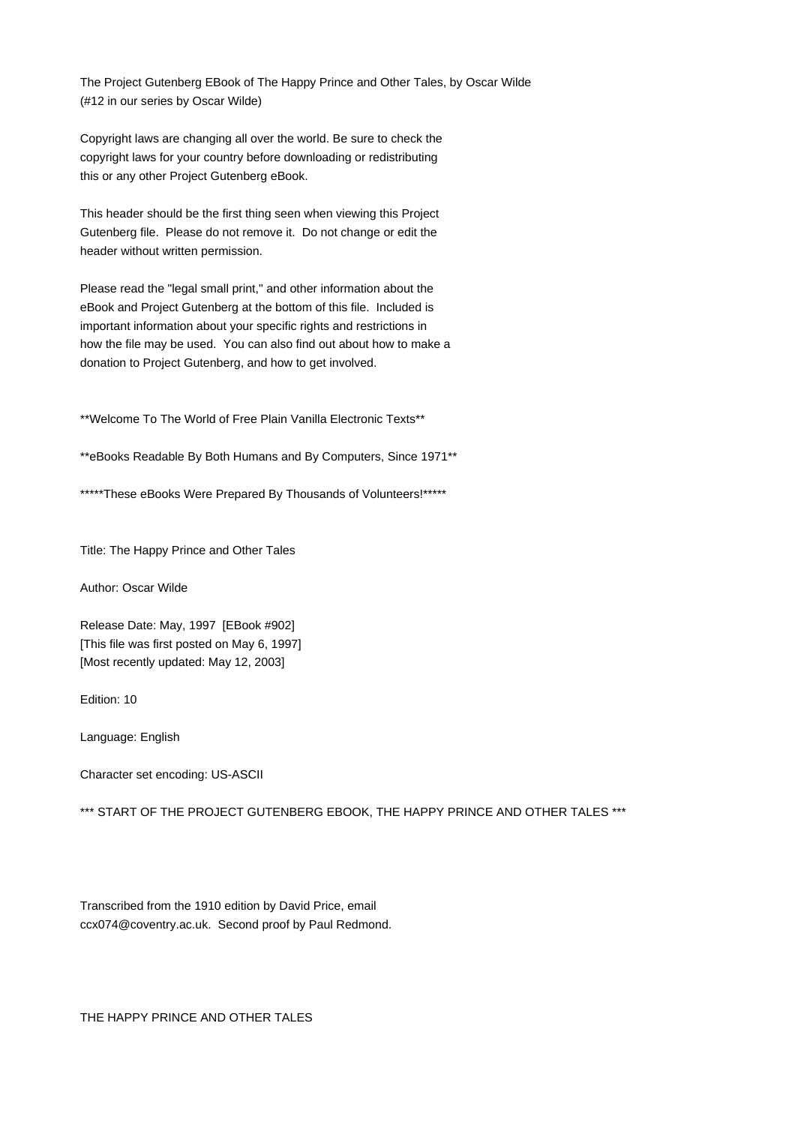The Project Gutenberg EBook of The Happy Prince and Other Tales, by Oscar Wilde (#12 in our series by Oscar Wilde)

Copyright laws are changing all over the world. Be sure to check the copyright laws for your country before downloading or redistributing this or any other Project Gutenberg eBook.

This header should be the first thing seen when viewing this Project Gutenberg file. Please do not remove it. Do not change or edit the header without written permission.

Please read the "legal small print," and other information about the eBook and Project Gutenberg at the bottom of this file. Included is important information about your specific rights and restrictions in how the file may be used. You can also find out about how to make a donation to Project Gutenberg, and how to get involved.

\*\*Welcome To The World of Free Plain Vanilla Electronic Texts\*\*

\*\*eBooks Readable By Both Humans and By Computers, Since 1971\*\*

\*\*\*\*\*These eBooks Were Prepared By Thousands of Volunteers!\*\*\*\*\*

Title: The Happy Prince and Other Tales

Author: Oscar Wilde

Release Date: May, 1997 [EBook #902] [This file was first posted on May 6, 1997] [Most recently updated: May 12, 2003]

Edition: 10

Language: English

Character set encoding: US-ASCII

\*\*\* START OF THE PROJECT GUTENBERG EBOOK, THE HAPPY PRINCE AND OTHER TALES \*\*\*

Transcribed from the 1910 edition by David Price, email ccx074@coventry.ac.uk. Second proof by Paul Redmond.

THE HAPPY PRINCE AND OTHER TALES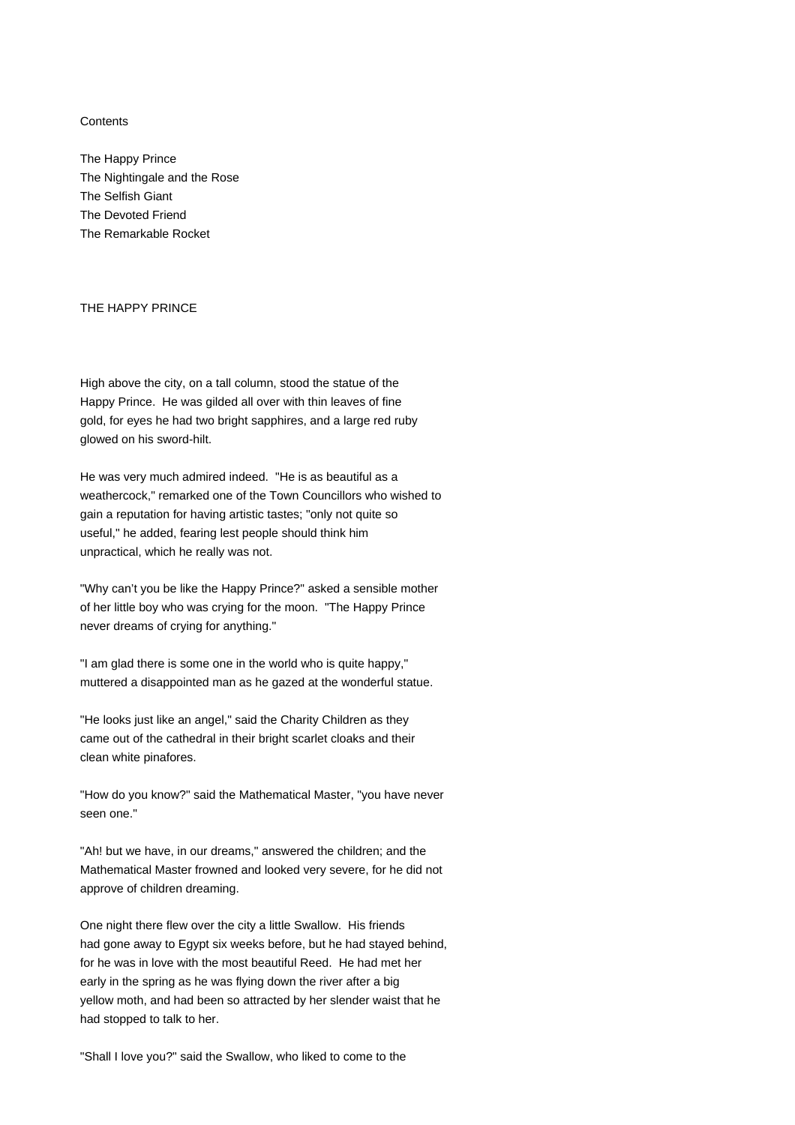### **Contents**

The Happy Prince The Nightingale and the Rose The Selfish Giant The Devoted Friend The Remarkable Rocket

# THE HAPPY PRINCE

High above the city, on a tall column, stood the statue of the Happy Prince. He was gilded all over with thin leaves of fine gold, for eyes he had two bright sapphires, and a large red ruby glowed on his sword-hilt.

He was very much admired indeed. "He is as beautiful as a weathercock," remarked one of the Town Councillors who wished to gain a reputation for having artistic tastes; "only not quite so useful," he added, fearing lest people should think him unpractical, which he really was not.

"Why can't you be like the Happy Prince?" asked a sensible mother of her little boy who was crying for the moon. "The Happy Prince never dreams of crying for anything."

"I am glad there is some one in the world who is quite happy," muttered a disappointed man as he gazed at the wonderful statue.

"He looks just like an angel," said the Charity Children as they came out of the cathedral in their bright scarlet cloaks and their clean white pinafores.

"How do you know?" said the Mathematical Master, "you have never seen one."

"Ah! but we have, in our dreams," answered the children; and the Mathematical Master frowned and looked very severe, for he did not approve of children dreaming.

One night there flew over the city a little Swallow. His friends had gone away to Egypt six weeks before, but he had stayed behind, for he was in love with the most beautiful Reed. He had met her early in the spring as he was flying down the river after a big yellow moth, and had been so attracted by her slender waist that he had stopped to talk to her.

"Shall I love you?" said the Swallow, who liked to come to the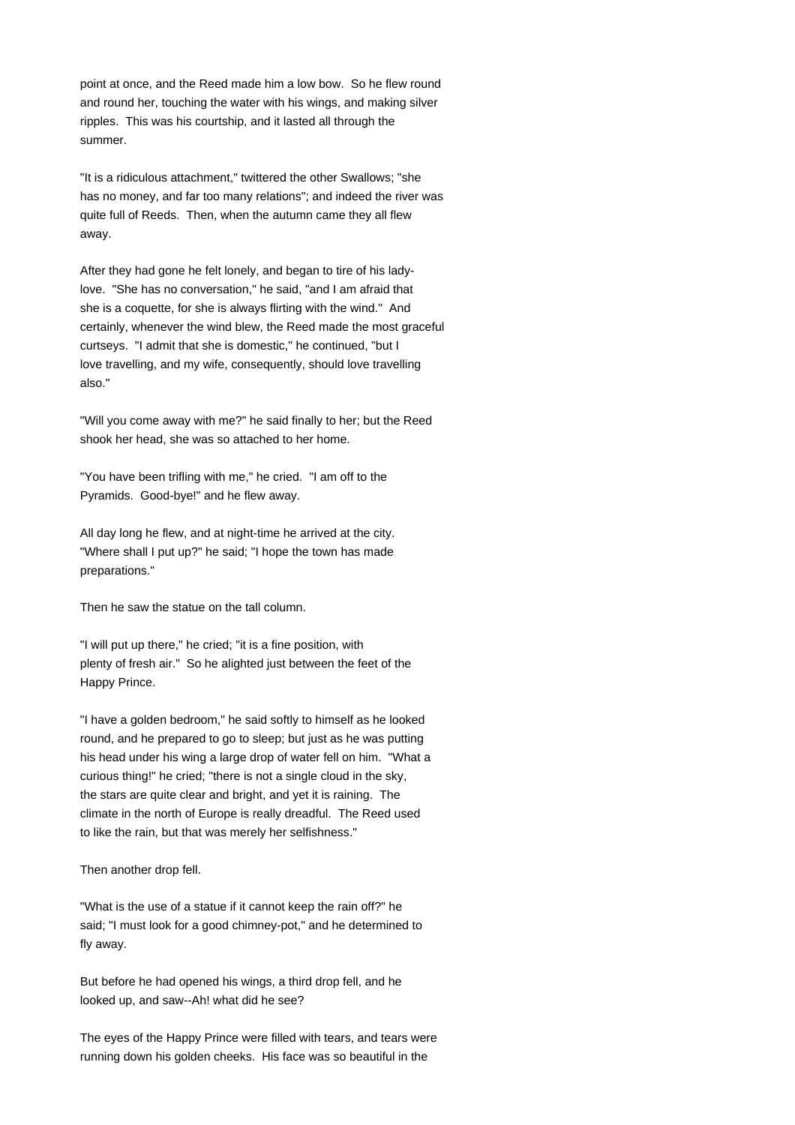point at once, and the Reed made him a low bow. So he flew round and round her, touching the water with his wings, and making silver ripples. This was his courtship, and it lasted all through the summer.

"It is a ridiculous attachment," twittered the other Swallows; "she has no money, and far too many relations"; and indeed the river was quite full of Reeds. Then, when the autumn came they all flew away.

After they had gone he felt lonely, and began to tire of his ladylove. "She has no conversation," he said, "and I am afraid that she is a coquette, for she is always flirting with the wind." And certainly, whenever the wind blew, the Reed made the most graceful curtseys. "I admit that she is domestic," he continued, "but I love travelling, and my wife, consequently, should love travelling also."

"Will you come away with me?" he said finally to her; but the Reed shook her head, she was so attached to her home.

"You have been trifling with me," he cried. "I am off to the Pyramids. Good-bye!" and he flew away.

All day long he flew, and at night-time he arrived at the city. "Where shall I put up?" he said; "I hope the town has made preparations."

Then he saw the statue on the tall column.

"I will put up there," he cried; "it is a fine position, with plenty of fresh air." So he alighted just between the feet of the Happy Prince.

"I have a golden bedroom," he said softly to himself as he looked round, and he prepared to go to sleep; but just as he was putting his head under his wing a large drop of water fell on him. "What a curious thing!" he cried; "there is not a single cloud in the sky, the stars are quite clear and bright, and yet it is raining. The climate in the north of Europe is really dreadful. The Reed used to like the rain, but that was merely her selfishness."

Then another drop fell.

"What is the use of a statue if it cannot keep the rain off?" he said; "I must look for a good chimney-pot," and he determined to fly away.

But before he had opened his wings, a third drop fell, and he looked up, and saw--Ah! what did he see?

The eyes of the Happy Prince were filled with tears, and tears were running down his golden cheeks. His face was so beautiful in the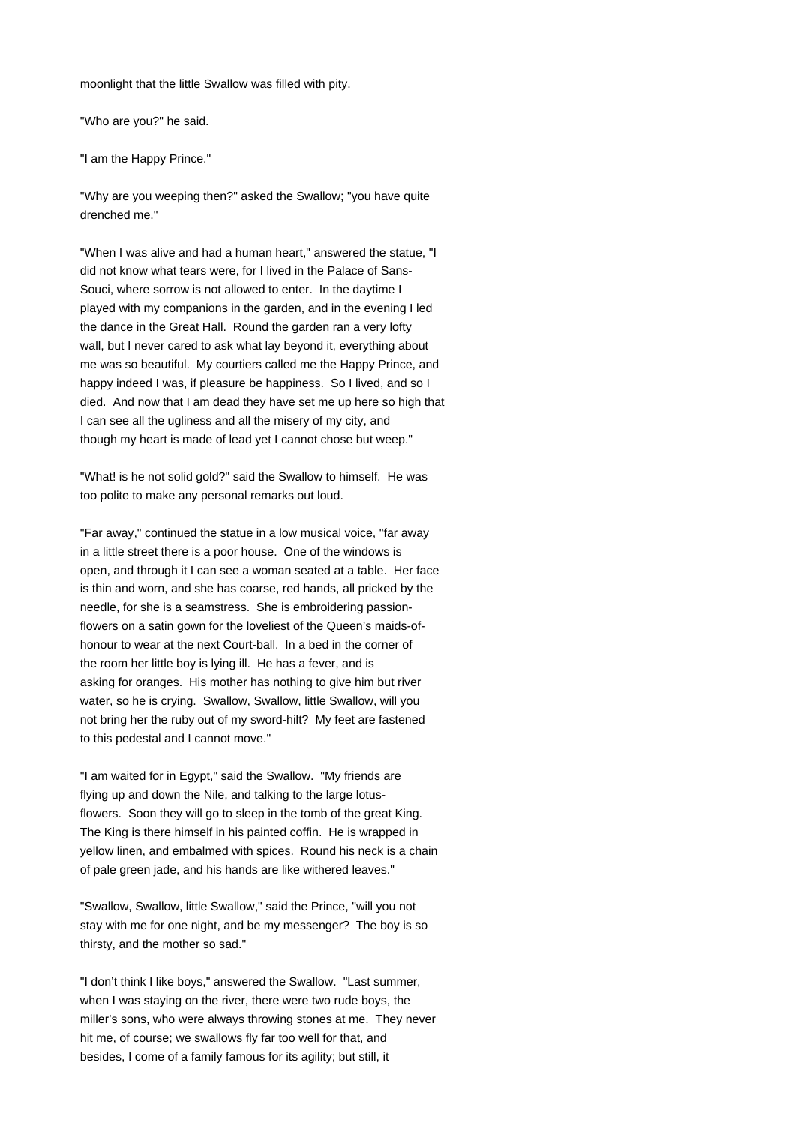moonlight that the little Swallow was filled with pity.

"Who are you?" he said.

"I am the Happy Prince."

"Why are you weeping then?" asked the Swallow; "you have quite drenched me."

"When I was alive and had a human heart," answered the statue, "I did not know what tears were, for I lived in the Palace of Sans-Souci, where sorrow is not allowed to enter. In the daytime I played with my companions in the garden, and in the evening I led the dance in the Great Hall. Round the garden ran a very lofty wall, but I never cared to ask what lay beyond it, everything about me was so beautiful. My courtiers called me the Happy Prince, and happy indeed I was, if pleasure be happiness. So I lived, and so I died. And now that I am dead they have set me up here so high that I can see all the ugliness and all the misery of my city, and though my heart is made of lead yet I cannot chose but weep."

"What! is he not solid gold?" said the Swallow to himself. He was too polite to make any personal remarks out loud.

"Far away," continued the statue in a low musical voice, "far away in a little street there is a poor house. One of the windows is open, and through it I can see a woman seated at a table. Her face is thin and worn, and she has coarse, red hands, all pricked by the needle, for she is a seamstress. She is embroidering passionflowers on a satin gown for the loveliest of the Queen's maids-ofhonour to wear at the next Court-ball. In a bed in the corner of the room her little boy is lying ill. He has a fever, and is asking for oranges. His mother has nothing to give him but river water, so he is crying. Swallow, Swallow, little Swallow, will you not bring her the ruby out of my sword-hilt? My feet are fastened to this pedestal and I cannot move."

"I am waited for in Egypt," said the Swallow. "My friends are flying up and down the Nile, and talking to the large lotusflowers. Soon they will go to sleep in the tomb of the great King. The King is there himself in his painted coffin. He is wrapped in yellow linen, and embalmed with spices. Round his neck is a chain of pale green jade, and his hands are like withered leaves."

"Swallow, Swallow, little Swallow," said the Prince, "will you not stay with me for one night, and be my messenger? The boy is so thirsty, and the mother so sad."

"I don't think I like boys," answered the Swallow. "Last summer, when I was staying on the river, there were two rude boys, the miller's sons, who were always throwing stones at me. They never hit me, of course; we swallows fly far too well for that, and besides, I come of a family famous for its agility; but still, it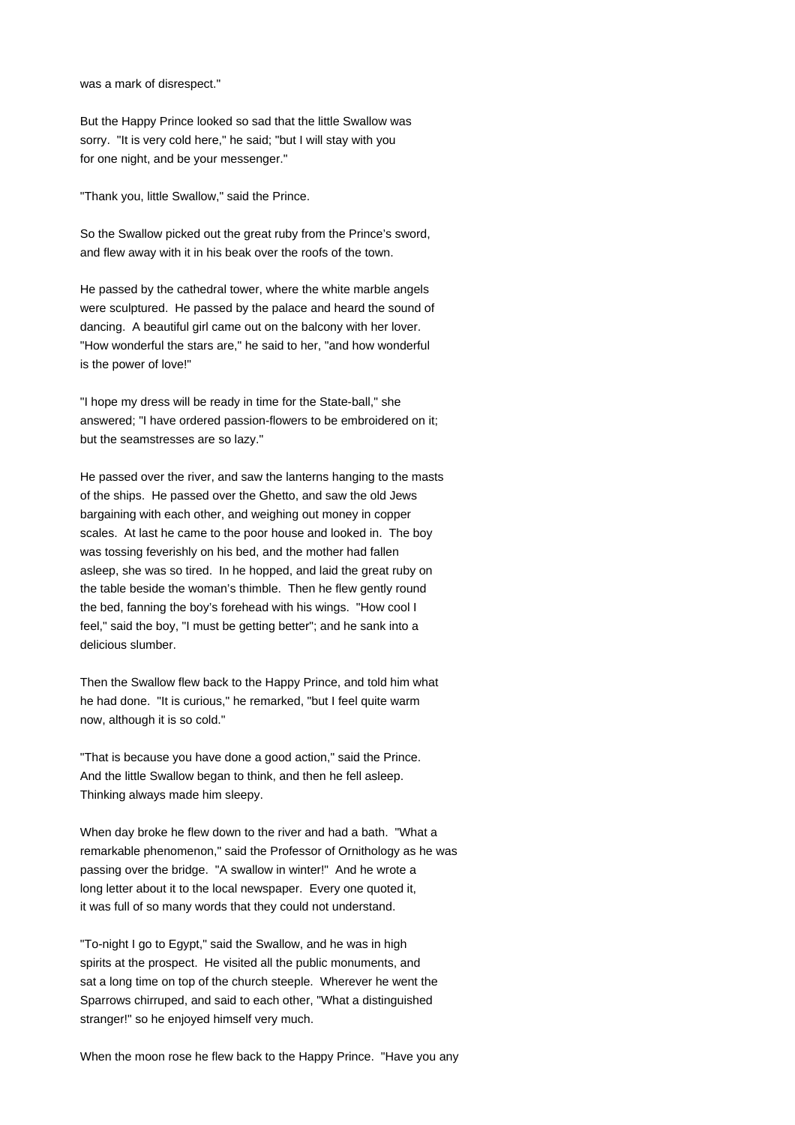was a mark of disrespect."

But the Happy Prince looked so sad that the little Swallow was sorry. "It is very cold here," he said; "but I will stay with you for one night, and be your messenger."

"Thank you, little Swallow," said the Prince.

So the Swallow picked out the great ruby from the Prince's sword, and flew away with it in his beak over the roofs of the town.

He passed by the cathedral tower, where the white marble angels were sculptured. He passed by the palace and heard the sound of dancing. A beautiful girl came out on the balcony with her lover. "How wonderful the stars are," he said to her, "and how wonderful is the power of love!"

"I hope my dress will be ready in time for the State-ball," she answered; "I have ordered passion-flowers to be embroidered on it; but the seamstresses are so lazy."

He passed over the river, and saw the lanterns hanging to the masts of the ships. He passed over the Ghetto, and saw the old Jews bargaining with each other, and weighing out money in copper scales. At last he came to the poor house and looked in. The boy was tossing feverishly on his bed, and the mother had fallen asleep, she was so tired. In he hopped, and laid the great ruby on the table beside the woman's thimble. Then he flew gently round the bed, fanning the boy's forehead with his wings. "How cool I feel," said the boy, "I must be getting better"; and he sank into a delicious slumber.

Then the Swallow flew back to the Happy Prince, and told him what he had done. "It is curious," he remarked, "but I feel quite warm now, although it is so cold."

"That is because you have done a good action," said the Prince. And the little Swallow began to think, and then he fell asleep. Thinking always made him sleepy.

When day broke he flew down to the river and had a bath. "What a remarkable phenomenon," said the Professor of Ornithology as he was passing over the bridge. "A swallow in winter!" And he wrote a long letter about it to the local newspaper. Every one quoted it, it was full of so many words that they could not understand.

"To-night I go to Egypt," said the Swallow, and he was in high spirits at the prospect. He visited all the public monuments, and sat a long time on top of the church steeple. Wherever he went the Sparrows chirruped, and said to each other, "What a distinguished stranger!" so he enjoyed himself very much.

When the moon rose he flew back to the Happy Prince. "Have you any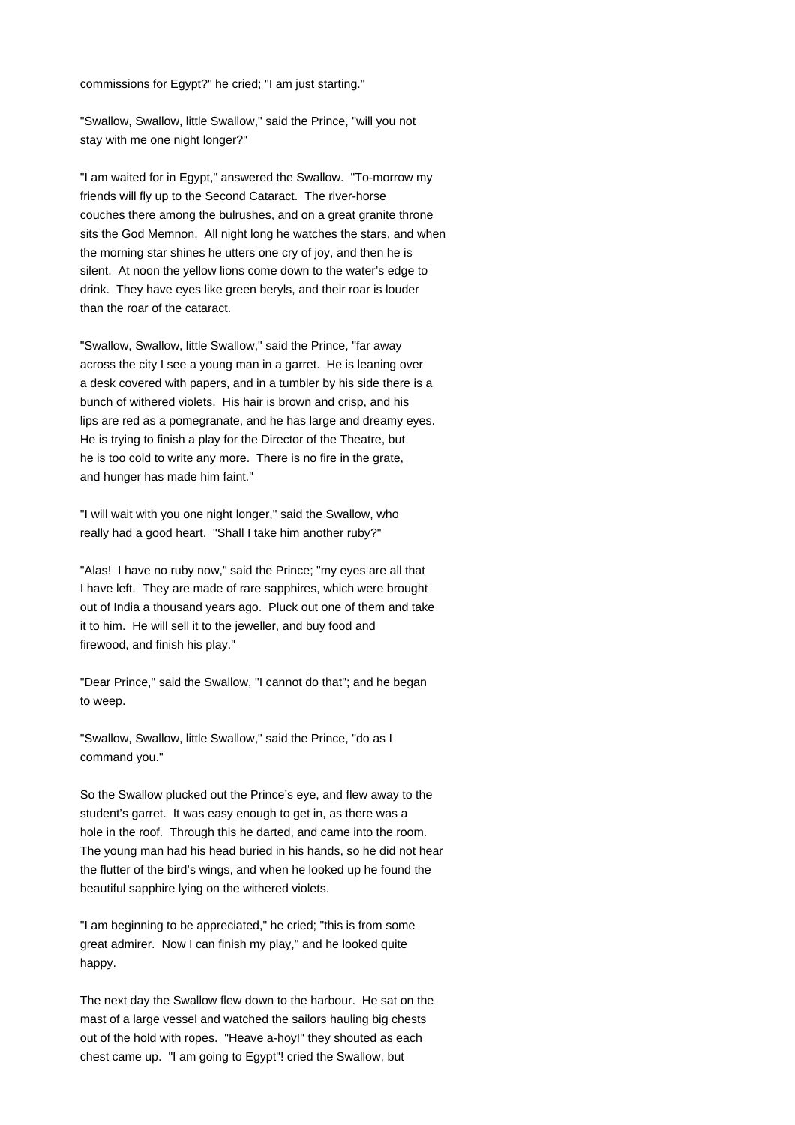commissions for Egypt?" he cried; "I am just starting."

"Swallow, Swallow, little Swallow," said the Prince, "will you not stay with me one night longer?"

"I am waited for in Egypt," answered the Swallow. "To-morrow my friends will fly up to the Second Cataract. The river-horse couches there among the bulrushes, and on a great granite throne sits the God Memnon. All night long he watches the stars, and when the morning star shines he utters one cry of joy, and then he is silent. At noon the yellow lions come down to the water's edge to drink. They have eyes like green beryls, and their roar is louder than the roar of the cataract.

"Swallow, Swallow, little Swallow," said the Prince, "far away across the city I see a young man in a garret. He is leaning over a desk covered with papers, and in a tumbler by his side there is a bunch of withered violets. His hair is brown and crisp, and his lips are red as a pomegranate, and he has large and dreamy eyes. He is trying to finish a play for the Director of the Theatre, but he is too cold to write any more. There is no fire in the grate, and hunger has made him faint."

"I will wait with you one night longer," said the Swallow, who really had a good heart. "Shall I take him another ruby?"

"Alas! I have no ruby now," said the Prince; "my eyes are all that I have left. They are made of rare sapphires, which were brought out of India a thousand years ago. Pluck out one of them and take it to him. He will sell it to the jeweller, and buy food and firewood, and finish his play."

"Dear Prince," said the Swallow, "I cannot do that"; and he began to weep.

"Swallow, Swallow, little Swallow," said the Prince, "do as I command you."

So the Swallow plucked out the Prince's eye, and flew away to the student's garret. It was easy enough to get in, as there was a hole in the roof. Through this he darted, and came into the room. The young man had his head buried in his hands, so he did not hear the flutter of the bird's wings, and when he looked up he found the beautiful sapphire lying on the withered violets.

"I am beginning to be appreciated," he cried; "this is from some great admirer. Now I can finish my play," and he looked quite happy.

The next day the Swallow flew down to the harbour. He sat on the mast of a large vessel and watched the sailors hauling big chests out of the hold with ropes. "Heave a-hoy!" they shouted as each chest came up. "I am going to Egypt"! cried the Swallow, but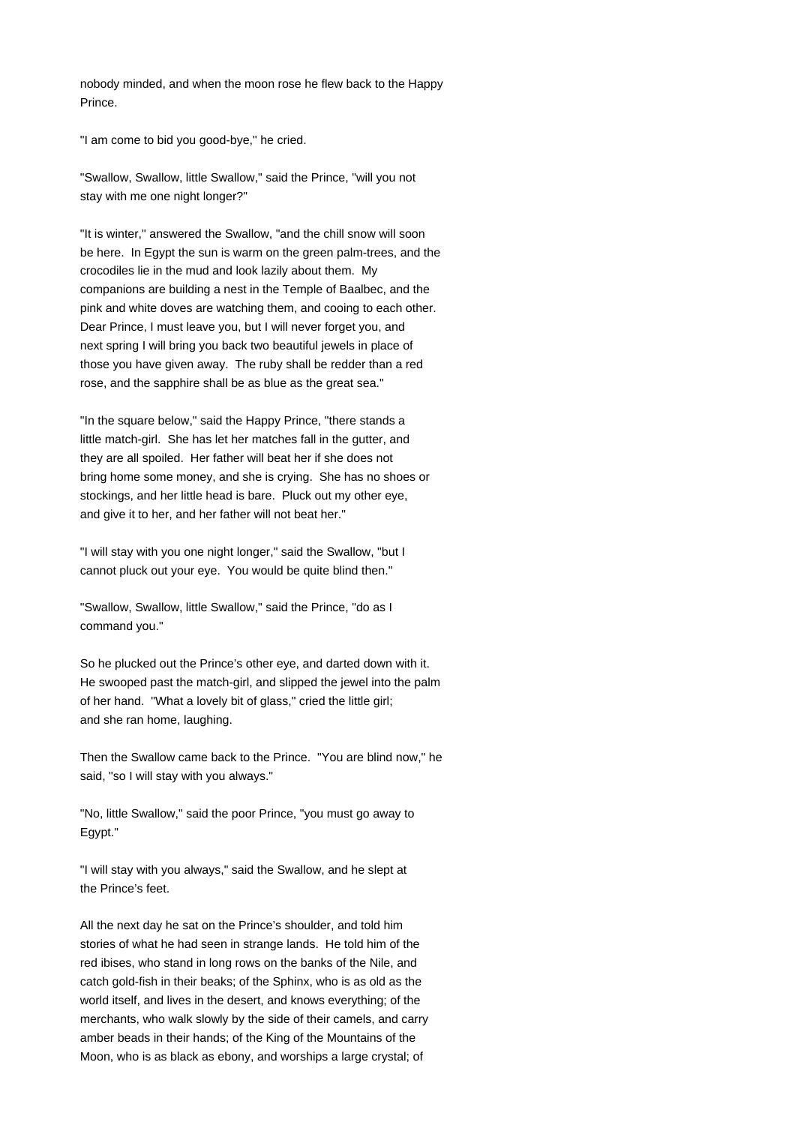nobody minded, and when the moon rose he flew back to the Happy Prince.

"I am come to bid you good-bye," he cried.

"Swallow, Swallow, little Swallow," said the Prince, "will you not stay with me one night longer?"

"It is winter," answered the Swallow, "and the chill snow will soon be here. In Egypt the sun is warm on the green palm-trees, and the crocodiles lie in the mud and look lazily about them. My companions are building a nest in the Temple of Baalbec, and the pink and white doves are watching them, and cooing to each other. Dear Prince, I must leave you, but I will never forget you, and next spring I will bring you back two beautiful jewels in place of those you have given away. The ruby shall be redder than a red rose, and the sapphire shall be as blue as the great sea."

"In the square below," said the Happy Prince, "there stands a little match-girl. She has let her matches fall in the gutter, and they are all spoiled. Her father will beat her if she does not bring home some money, and she is crying. She has no shoes or stockings, and her little head is bare. Pluck out my other eye, and give it to her, and her father will not beat her."

"I will stay with you one night longer," said the Swallow, "but I cannot pluck out your eye. You would be quite blind then."

"Swallow, Swallow, little Swallow," said the Prince, "do as I command you."

So he plucked out the Prince's other eye, and darted down with it. He swooped past the match-girl, and slipped the jewel into the palm of her hand. "What a lovely bit of glass," cried the little girl; and she ran home, laughing.

Then the Swallow came back to the Prince. "You are blind now," he said, "so I will stay with you always."

"No, little Swallow," said the poor Prince, "you must go away to Egypt."

"I will stay with you always," said the Swallow, and he slept at the Prince's feet.

All the next day he sat on the Prince's shoulder, and told him stories of what he had seen in strange lands. He told him of the red ibises, who stand in long rows on the banks of the Nile, and catch gold-fish in their beaks; of the Sphinx, who is as old as the world itself, and lives in the desert, and knows everything; of the merchants, who walk slowly by the side of their camels, and carry amber beads in their hands; of the King of the Mountains of the Moon, who is as black as ebony, and worships a large crystal; of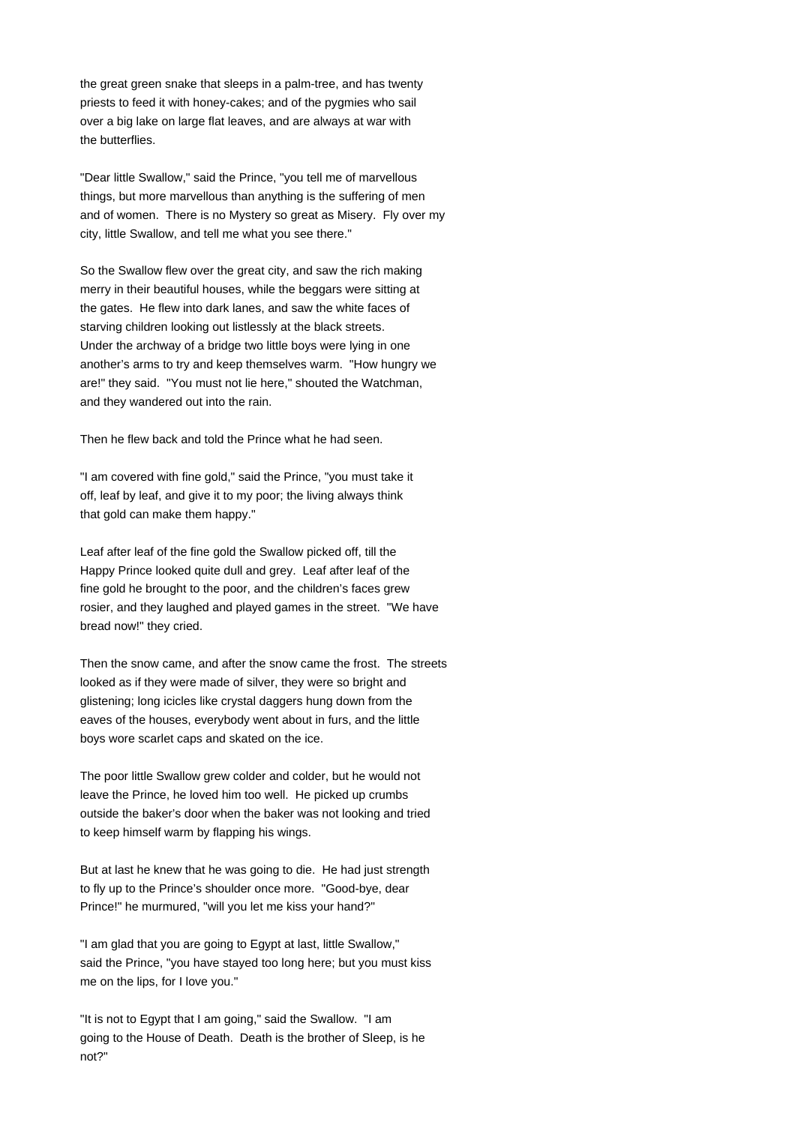the great green snake that sleeps in a palm-tree, and has twenty priests to feed it with honey-cakes; and of the pygmies who sail over a big lake on large flat leaves, and are always at war with the butterflies.

"Dear little Swallow," said the Prince, "you tell me of marvellous things, but more marvellous than anything is the suffering of men and of women. There is no Mystery so great as Misery. Fly over my city, little Swallow, and tell me what you see there."

So the Swallow flew over the great city, and saw the rich making merry in their beautiful houses, while the beggars were sitting at the gates. He flew into dark lanes, and saw the white faces of starving children looking out listlessly at the black streets. Under the archway of a bridge two little boys were lying in one another's arms to try and keep themselves warm. "How hungry we are!" they said. "You must not lie here," shouted the Watchman, and they wandered out into the rain.

Then he flew back and told the Prince what he had seen.

"I am covered with fine gold," said the Prince, "you must take it off, leaf by leaf, and give it to my poor; the living always think that gold can make them happy."

Leaf after leaf of the fine gold the Swallow picked off, till the Happy Prince looked quite dull and grey. Leaf after leaf of the fine gold he brought to the poor, and the children's faces grew rosier, and they laughed and played games in the street. "We have bread now!" they cried.

Then the snow came, and after the snow came the frost. The streets looked as if they were made of silver, they were so bright and glistening; long icicles like crystal daggers hung down from the eaves of the houses, everybody went about in furs, and the little boys wore scarlet caps and skated on the ice.

The poor little Swallow grew colder and colder, but he would not leave the Prince, he loved him too well. He picked up crumbs outside the baker's door when the baker was not looking and tried to keep himself warm by flapping his wings.

But at last he knew that he was going to die. He had just strength to fly up to the Prince's shoulder once more. "Good-bye, dear Prince!" he murmured, "will you let me kiss your hand?"

"I am glad that you are going to Egypt at last, little Swallow," said the Prince, "you have stayed too long here; but you must kiss me on the lips, for I love you."

"It is not to Egypt that I am going," said the Swallow. "I am going to the House of Death. Death is the brother of Sleep, is he not?"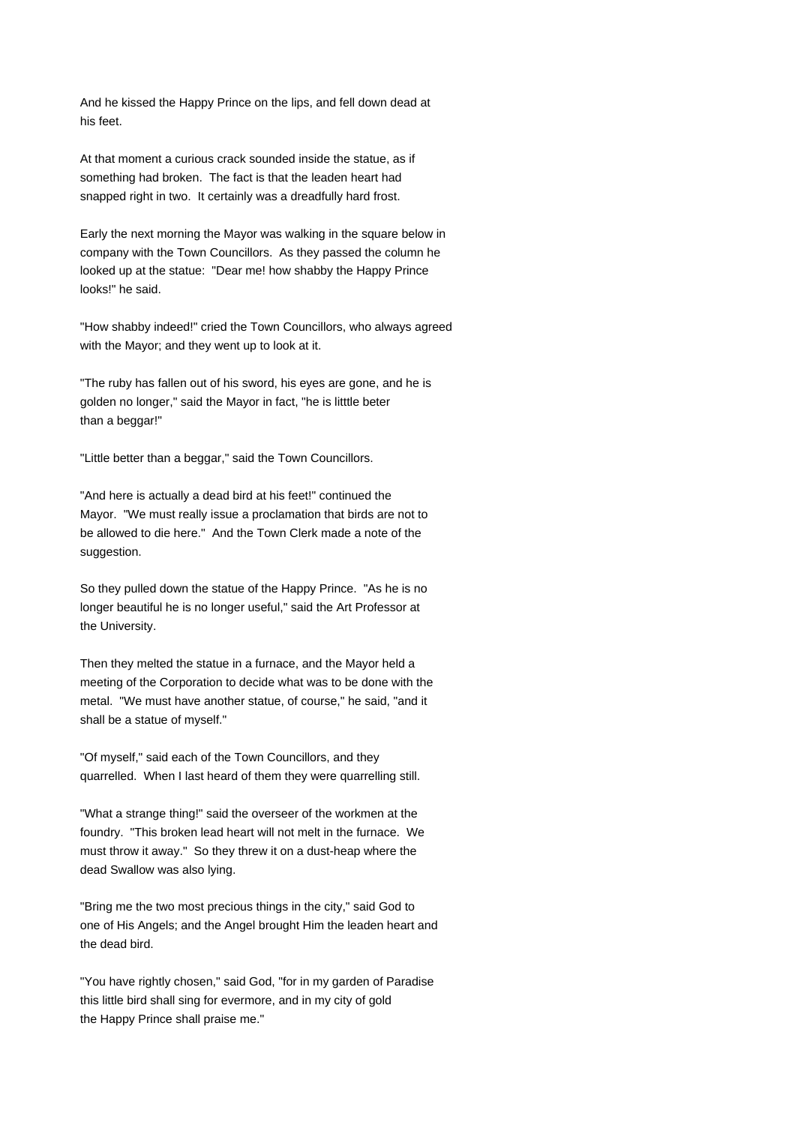And he kissed the Happy Prince on the lips, and fell down dead at his feet.

At that moment a curious crack sounded inside the statue, as if something had broken. The fact is that the leaden heart had snapped right in two. It certainly was a dreadfully hard frost.

Early the next morning the Mayor was walking in the square below in company with the Town Councillors. As they passed the column he looked up at the statue: "Dear me! how shabby the Happy Prince looks!" he said.

"How shabby indeed!" cried the Town Councillors, who always agreed with the Mayor; and they went up to look at it.

"The ruby has fallen out of his sword, his eyes are gone, and he is golden no longer," said the Mayor in fact, "he is litttle beter than a beggar!"

"Little better than a beggar," said the Town Councillors.

"And here is actually a dead bird at his feet!" continued the Mayor. "We must really issue a proclamation that birds are not to be allowed to die here." And the Town Clerk made a note of the suggestion.

So they pulled down the statue of the Happy Prince. "As he is no longer beautiful he is no longer useful," said the Art Professor at the University.

Then they melted the statue in a furnace, and the Mayor held a meeting of the Corporation to decide what was to be done with the metal. "We must have another statue, of course," he said, "and it shall be a statue of myself."

"Of myself," said each of the Town Councillors, and they quarrelled. When I last heard of them they were quarrelling still.

"What a strange thing!" said the overseer of the workmen at the foundry. "This broken lead heart will not melt in the furnace. We must throw it away." So they threw it on a dust-heap where the dead Swallow was also lying.

"Bring me the two most precious things in the city," said God to one of His Angels; and the Angel brought Him the leaden heart and the dead bird.

"You have rightly chosen," said God, "for in my garden of Paradise this little bird shall sing for evermore, and in my city of gold the Happy Prince shall praise me."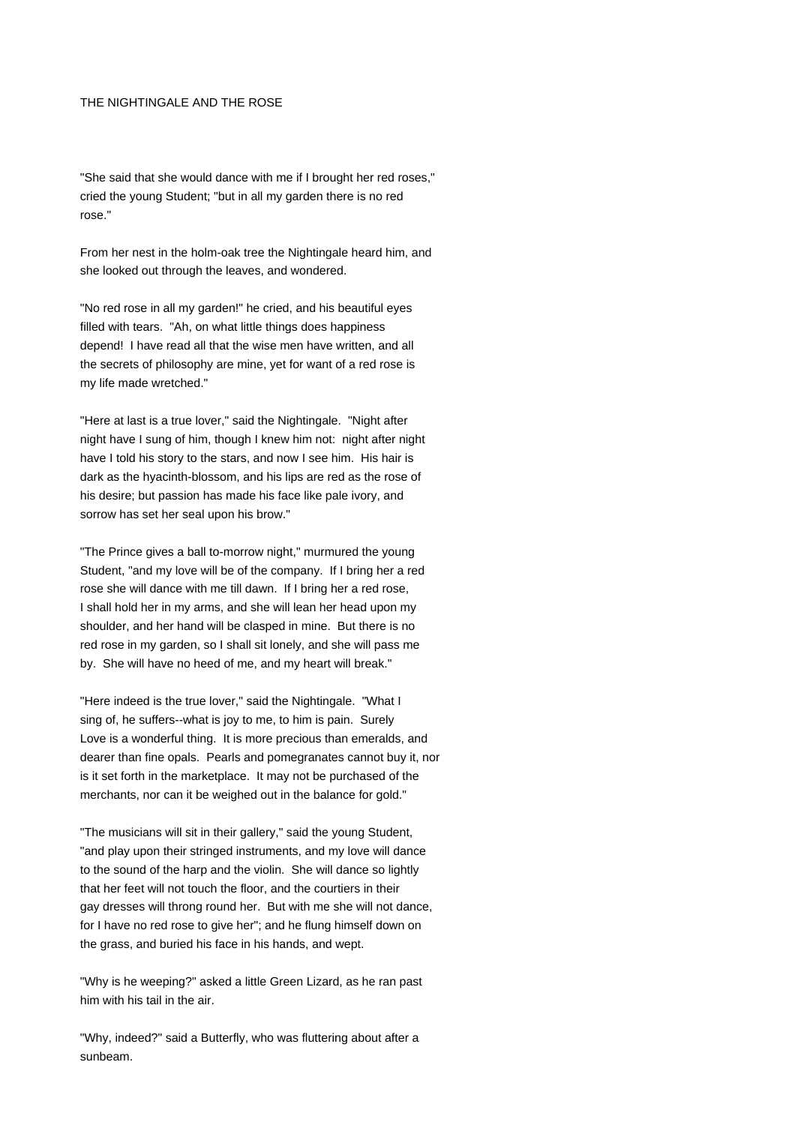### THE NIGHTINGALE AND THE ROSE

"She said that she would dance with me if I brought her red roses," cried the young Student; "but in all my garden there is no red rose."

From her nest in the holm-oak tree the Nightingale heard him, and she looked out through the leaves, and wondered.

"No red rose in all my garden!" he cried, and his beautiful eyes filled with tears. "Ah, on what little things does happiness depend! I have read all that the wise men have written, and all the secrets of philosophy are mine, yet for want of a red rose is my life made wretched."

"Here at last is a true lover," said the Nightingale. "Night after night have I sung of him, though I knew him not: night after night have I told his story to the stars, and now I see him. His hair is dark as the hyacinth-blossom, and his lips are red as the rose of his desire; but passion has made his face like pale ivory, and sorrow has set her seal upon his brow."

"The Prince gives a ball to-morrow night," murmured the young Student, "and my love will be of the company. If I bring her a red rose she will dance with me till dawn. If I bring her a red rose, I shall hold her in my arms, and she will lean her head upon my shoulder, and her hand will be clasped in mine. But there is no red rose in my garden, so I shall sit lonely, and she will pass me by. She will have no heed of me, and my heart will break."

"Here indeed is the true lover," said the Nightingale. "What I sing of, he suffers--what is joy to me, to him is pain. Surely Love is a wonderful thing. It is more precious than emeralds, and dearer than fine opals. Pearls and pomegranates cannot buy it, nor is it set forth in the marketplace. It may not be purchased of the merchants, nor can it be weighed out in the balance for gold."

"The musicians will sit in their gallery," said the young Student, "and play upon their stringed instruments, and my love will dance to the sound of the harp and the violin. She will dance so lightly that her feet will not touch the floor, and the courtiers in their gay dresses will throng round her. But with me she will not dance, for I have no red rose to give her"; and he flung himself down on the grass, and buried his face in his hands, and wept.

"Why is he weeping?" asked a little Green Lizard, as he ran past him with his tail in the air.

"Why, indeed?" said a Butterfly, who was fluttering about after a sunbeam.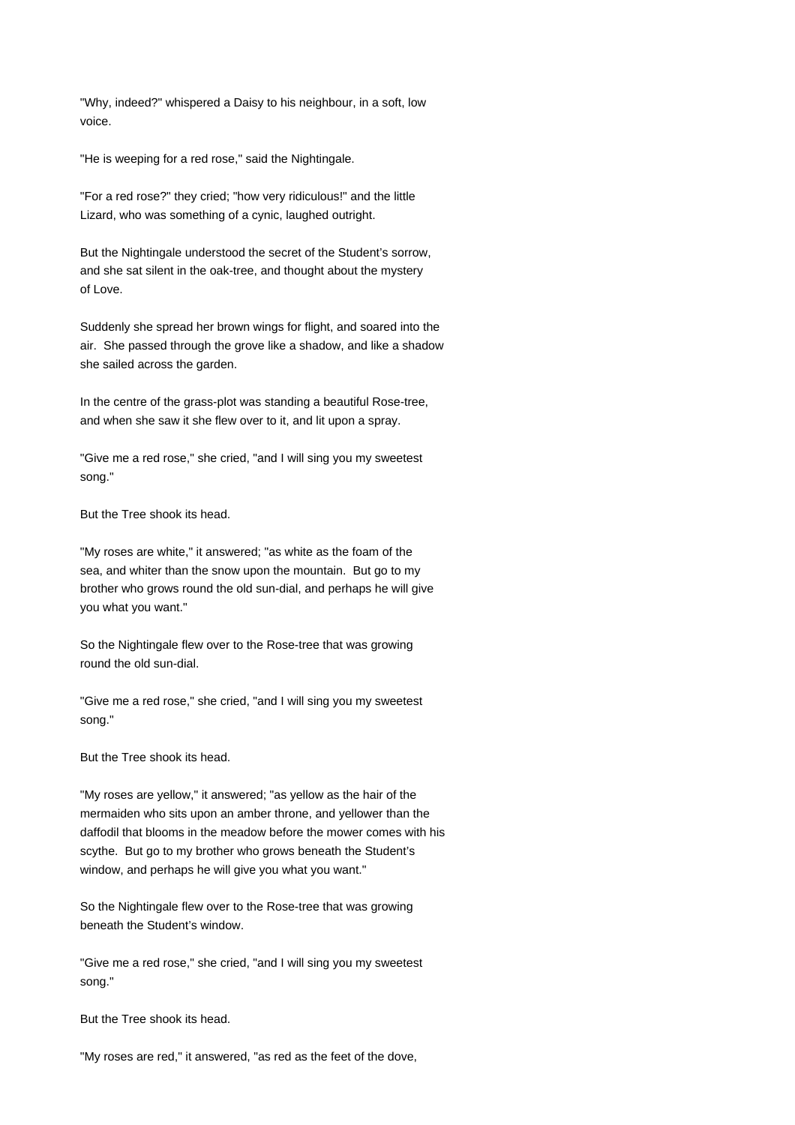"Why, indeed?" whispered a Daisy to his neighbour, in a soft, low voice.

"He is weeping for a red rose," said the Nightingale.

"For a red rose?" they cried; "how very ridiculous!" and the little Lizard, who was something of a cynic, laughed outright.

But the Nightingale understood the secret of the Student's sorrow, and she sat silent in the oak-tree, and thought about the mystery of Love.

Suddenly she spread her brown wings for flight, and soared into the air. She passed through the grove like a shadow, and like a shadow she sailed across the garden.

In the centre of the grass-plot was standing a beautiful Rose-tree, and when she saw it she flew over to it, and lit upon a spray.

"Give me a red rose," she cried, "and I will sing you my sweetest song."

But the Tree shook its head.

"My roses are white," it answered; "as white as the foam of the sea, and whiter than the snow upon the mountain. But go to my brother who grows round the old sun-dial, and perhaps he will give you what you want."

So the Nightingale flew over to the Rose-tree that was growing round the old sun-dial.

"Give me a red rose," she cried, "and I will sing you my sweetest song."

But the Tree shook its head.

"My roses are yellow," it answered; "as yellow as the hair of the mermaiden who sits upon an amber throne, and yellower than the daffodil that blooms in the meadow before the mower comes with his scythe. But go to my brother who grows beneath the Student's window, and perhaps he will give you what you want."

So the Nightingale flew over to the Rose-tree that was growing beneath the Student's window.

"Give me a red rose," she cried, "and I will sing you my sweetest song."

But the Tree shook its head.

"My roses are red," it answered, "as red as the feet of the dove,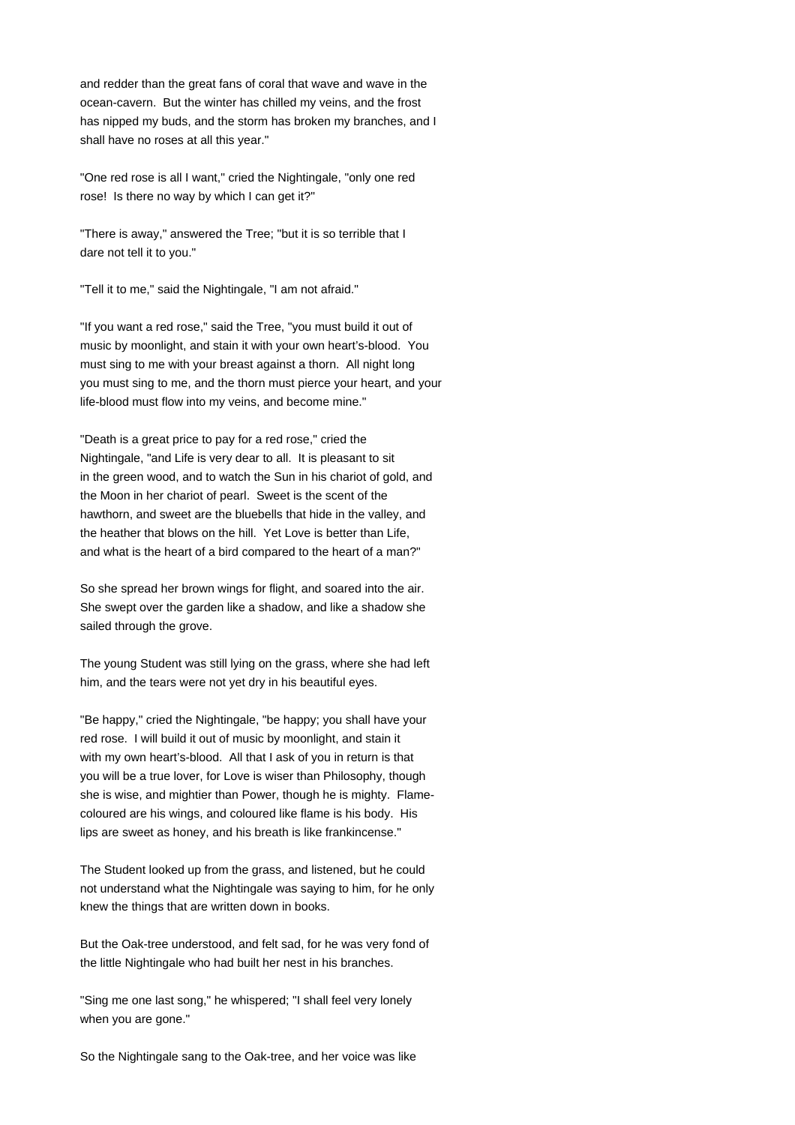and redder than the great fans of coral that wave and wave in the ocean-cavern. But the winter has chilled my veins, and the frost has nipped my buds, and the storm has broken my branches, and I shall have no roses at all this year."

"One red rose is all I want," cried the Nightingale, "only one red rose! Is there no way by which I can get it?"

"There is away," answered the Tree; "but it is so terrible that I dare not tell it to you."

"Tell it to me," said the Nightingale, "I am not afraid."

"If you want a red rose," said the Tree, "you must build it out of music by moonlight, and stain it with your own heart's-blood. You must sing to me with your breast against a thorn. All night long you must sing to me, and the thorn must pierce your heart, and your life-blood must flow into my veins, and become mine."

"Death is a great price to pay for a red rose," cried the Nightingale, "and Life is very dear to all. It is pleasant to sit in the green wood, and to watch the Sun in his chariot of gold, and the Moon in her chariot of pearl. Sweet is the scent of the hawthorn, and sweet are the bluebells that hide in the valley, and the heather that blows on the hill. Yet Love is better than Life, and what is the heart of a bird compared to the heart of a man?"

So she spread her brown wings for flight, and soared into the air. She swept over the garden like a shadow, and like a shadow she sailed through the grove.

The young Student was still lying on the grass, where she had left him, and the tears were not yet dry in his beautiful eyes.

"Be happy," cried the Nightingale, "be happy; you shall have your red rose. I will build it out of music by moonlight, and stain it with my own heart's-blood. All that I ask of you in return is that you will be a true lover, for Love is wiser than Philosophy, though she is wise, and mightier than Power, though he is mighty. Flamecoloured are his wings, and coloured like flame is his body. His lips are sweet as honey, and his breath is like frankincense."

The Student looked up from the grass, and listened, but he could not understand what the Nightingale was saying to him, for he only knew the things that are written down in books.

But the Oak-tree understood, and felt sad, for he was very fond of the little Nightingale who had built her nest in his branches.

"Sing me one last song," he whispered; "I shall feel very lonely when you are gone."

So the Nightingale sang to the Oak-tree, and her voice was like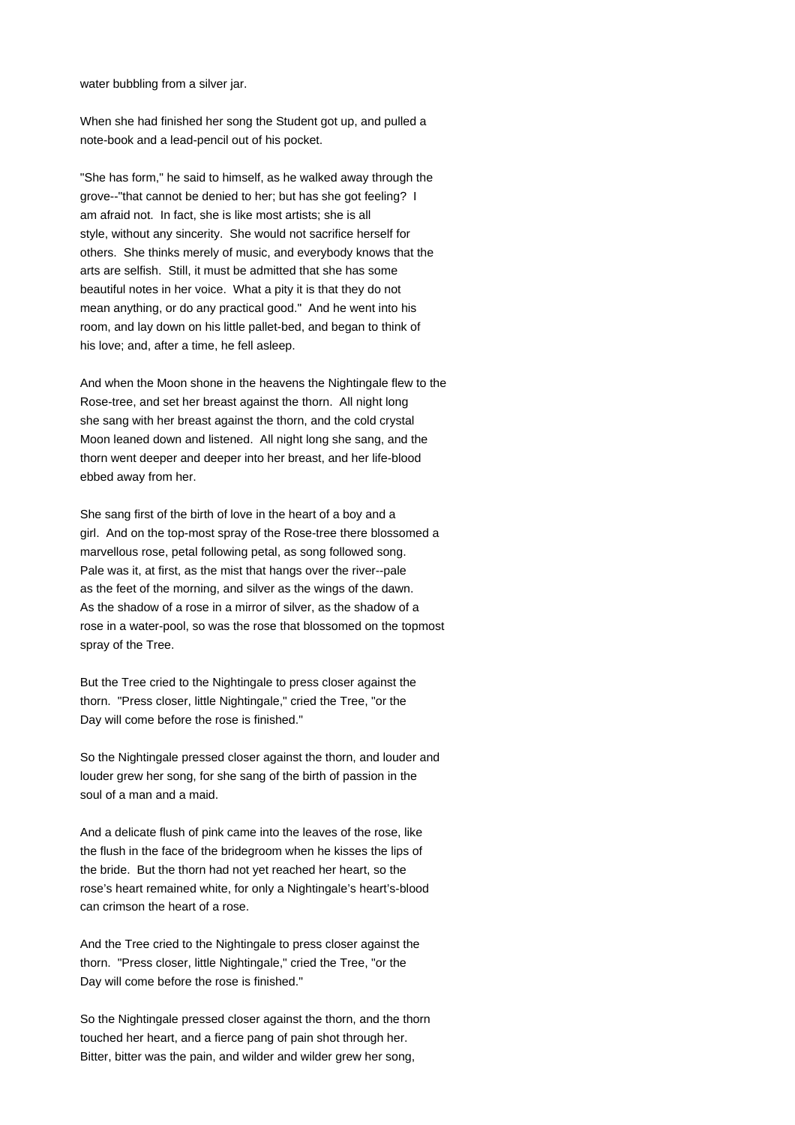water bubbling from a silver jar.

When she had finished her song the Student got up, and pulled a note-book and a lead-pencil out of his pocket.

"She has form," he said to himself, as he walked away through the grove--"that cannot be denied to her; but has she got feeling? I am afraid not. In fact, she is like most artists; she is all style, without any sincerity. She would not sacrifice herself for others. She thinks merely of music, and everybody knows that the arts are selfish. Still, it must be admitted that she has some beautiful notes in her voice. What a pity it is that they do not mean anything, or do any practical good." And he went into his room, and lay down on his little pallet-bed, and began to think of his love; and, after a time, he fell asleep.

And when the Moon shone in the heavens the Nightingale flew to the Rose-tree, and set her breast against the thorn. All night long she sang with her breast against the thorn, and the cold crystal Moon leaned down and listened. All night long she sang, and the thorn went deeper and deeper into her breast, and her life-blood ebbed away from her.

She sang first of the birth of love in the heart of a boy and a girl. And on the top-most spray of the Rose-tree there blossomed a marvellous rose, petal following petal, as song followed song. Pale was it, at first, as the mist that hangs over the river--pale as the feet of the morning, and silver as the wings of the dawn. As the shadow of a rose in a mirror of silver, as the shadow of a rose in a water-pool, so was the rose that blossomed on the topmost spray of the Tree.

But the Tree cried to the Nightingale to press closer against the thorn. "Press closer, little Nightingale," cried the Tree, "or the Day will come before the rose is finished."

So the Nightingale pressed closer against the thorn, and louder and louder grew her song, for she sang of the birth of passion in the soul of a man and a maid.

And a delicate flush of pink came into the leaves of the rose, like the flush in the face of the bridegroom when he kisses the lips of the bride. But the thorn had not yet reached her heart, so the rose's heart remained white, for only a Nightingale's heart's-blood can crimson the heart of a rose.

And the Tree cried to the Nightingale to press closer against the thorn. "Press closer, little Nightingale," cried the Tree, "or the Day will come before the rose is finished."

So the Nightingale pressed closer against the thorn, and the thorn touched her heart, and a fierce pang of pain shot through her. Bitter, bitter was the pain, and wilder and wilder grew her song,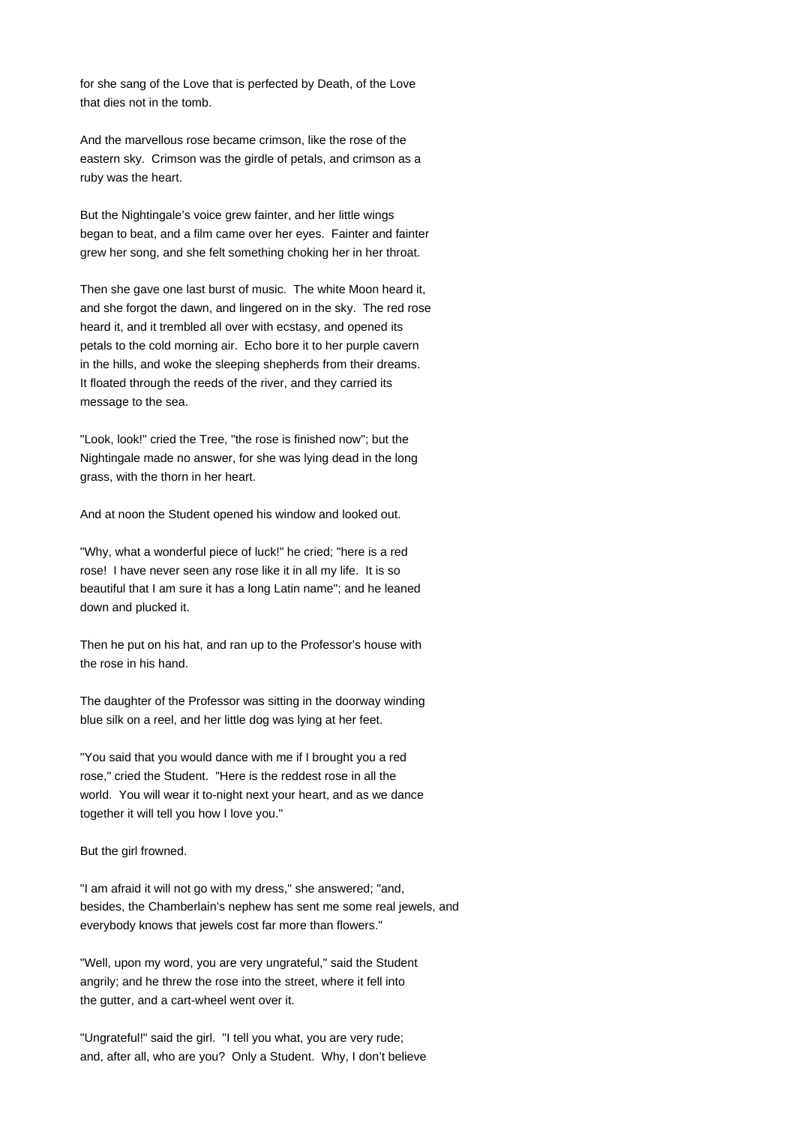for she sang of the Love that is perfected by Death, of the Love that dies not in the tomb.

And the marvellous rose became crimson, like the rose of the eastern sky. Crimson was the girdle of petals, and crimson as a ruby was the heart.

But the Nightingale's voice grew fainter, and her little wings began to beat, and a film came over her eyes. Fainter and fainter grew her song, and she felt something choking her in her throat.

Then she gave one last burst of music. The white Moon heard it, and she forgot the dawn, and lingered on in the sky. The red rose heard it, and it trembled all over with ecstasy, and opened its petals to the cold morning air. Echo bore it to her purple cavern in the hills, and woke the sleeping shepherds from their dreams. It floated through the reeds of the river, and they carried its message to the sea.

"Look, look!" cried the Tree, "the rose is finished now"; but the Nightingale made no answer, for she was lying dead in the long grass, with the thorn in her heart.

And at noon the Student opened his window and looked out.

"Why, what a wonderful piece of luck!" he cried; "here is a red rose! I have never seen any rose like it in all my life. It is so beautiful that I am sure it has a long Latin name"; and he leaned down and plucked it.

Then he put on his hat, and ran up to the Professor's house with the rose in his hand.

The daughter of the Professor was sitting in the doorway winding blue silk on a reel, and her little dog was lying at her feet.

"You said that you would dance with me if I brought you a red rose," cried the Student. "Here is the reddest rose in all the world. You will wear it to-night next your heart, and as we dance together it will tell you how I love you."

But the girl frowned.

"I am afraid it will not go with my dress," she answered; "and, besides, the Chamberlain's nephew has sent me some real jewels, and everybody knows that jewels cost far more than flowers."

"Well, upon my word, you are very ungrateful," said the Student angrily; and he threw the rose into the street, where it fell into the gutter, and a cart-wheel went over it.

"Ungrateful!" said the girl. "I tell you what, you are very rude; and, after all, who are you? Only a Student. Why, I don't believe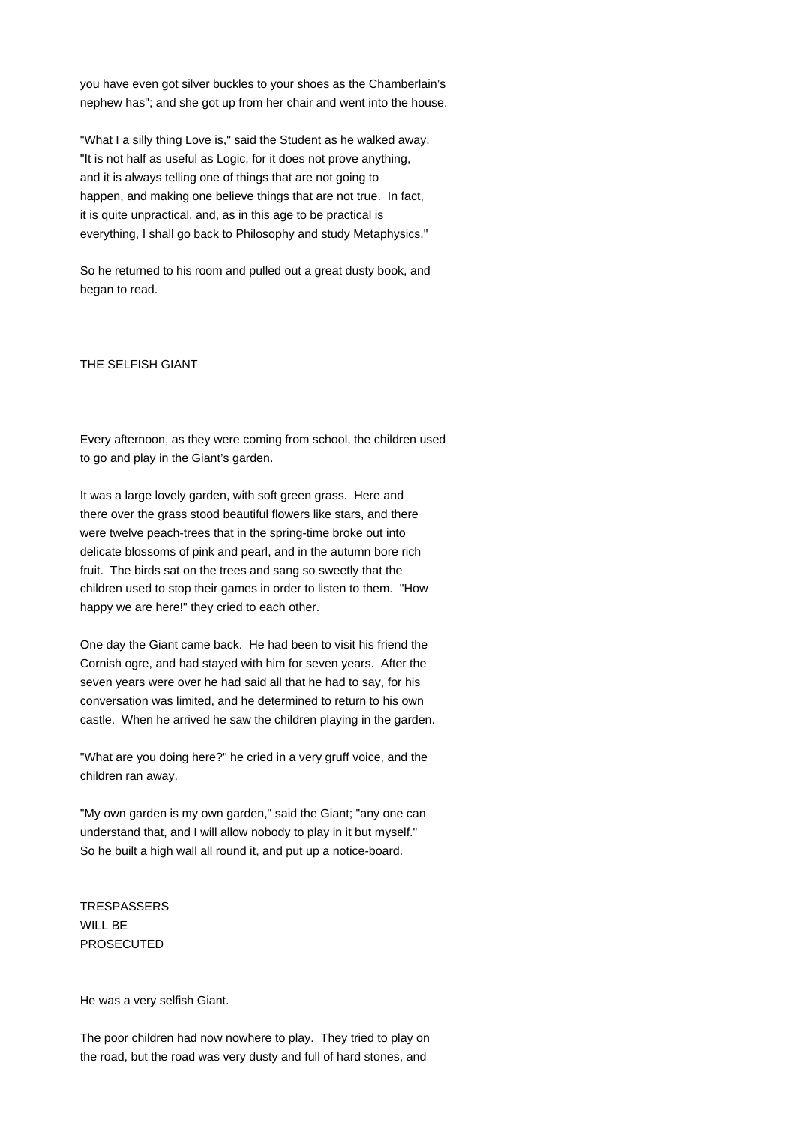you have even got silver buckles to your shoes as the Chamberlain's nephew has"; and she got up from her chair and went into the house.

"What I a silly thing Love is," said the Student as he walked away. "It is not half as useful as Logic, for it does not prove anything, and it is always telling one of things that are not going to happen, and making one believe things that are not true. In fact, it is quite unpractical, and, as in this age to be practical is everything, I shall go back to Philosophy and study Metaphysics."

So he returned to his room and pulled out a great dusty book, and began to read.

# THE SELFISH GIANT

Every afternoon, as they were coming from school, the children used to go and play in the Giant's garden.

It was a large lovely garden, with soft green grass. Here and there over the grass stood beautiful flowers like stars, and there were twelve peach-trees that in the spring-time broke out into delicate blossoms of pink and pearl, and in the autumn bore rich fruit. The birds sat on the trees and sang so sweetly that the children used to stop their games in order to listen to them. "How happy we are here!" they cried to each other.

One day the Giant came back. He had been to visit his friend the Cornish ogre, and had stayed with him for seven years. After the seven years were over he had said all that he had to say, for his conversation was limited, and he determined to return to his own castle. When he arrived he saw the children playing in the garden.

"What are you doing here?" he cried in a very gruff voice, and the children ran away.

"My own garden is my own garden," said the Giant; "any one can understand that, and I will allow nobody to play in it but myself." So he built a high wall all round it, and put up a notice-board.

**TRESPASSERS** WILL BE PROSECUTED

He was a very selfish Giant.

The poor children had now nowhere to play. They tried to play on the road, but the road was very dusty and full of hard stones, and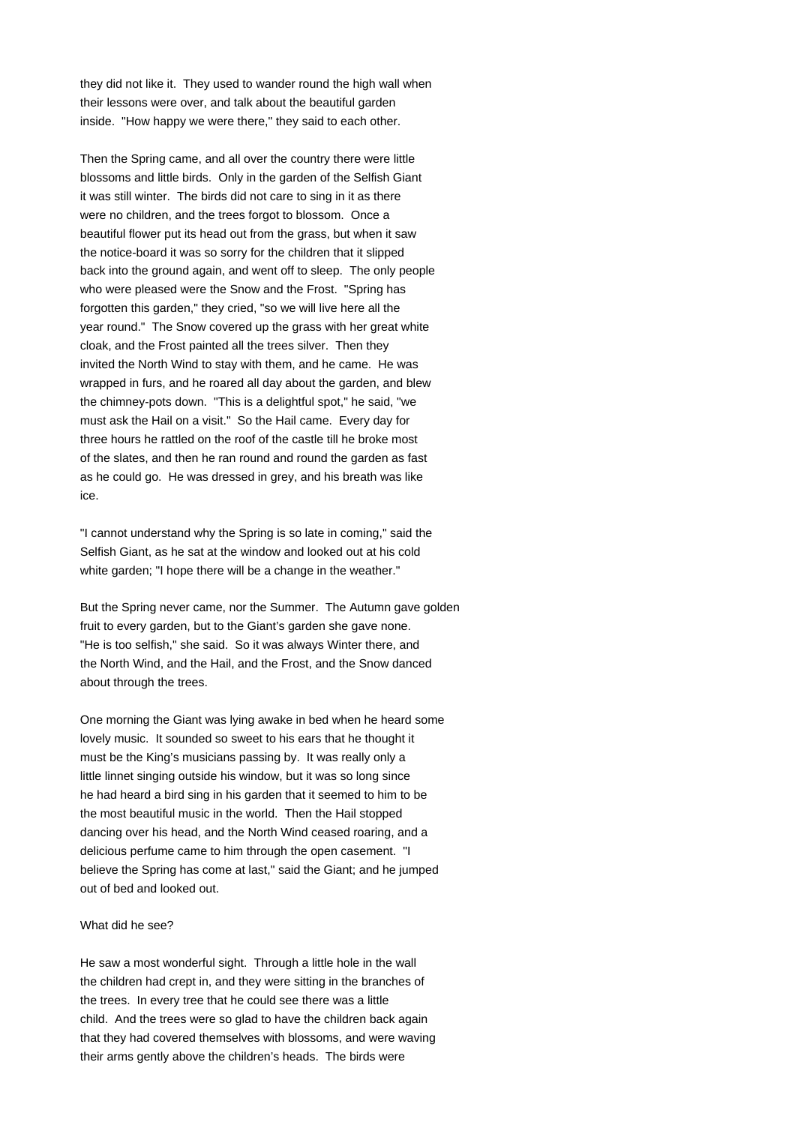they did not like it. They used to wander round the high wall when their lessons were over, and talk about the beautiful garden inside. "How happy we were there," they said to each other.

Then the Spring came, and all over the country there were little blossoms and little birds. Only in the garden of the Selfish Giant it was still winter. The birds did not care to sing in it as there were no children, and the trees forgot to blossom. Once a beautiful flower put its head out from the grass, but when it saw the notice-board it was so sorry for the children that it slipped back into the ground again, and went off to sleep. The only people who were pleased were the Snow and the Frost. "Spring has forgotten this garden," they cried, "so we will live here all the year round." The Snow covered up the grass with her great white cloak, and the Frost painted all the trees silver. Then they invited the North Wind to stay with them, and he came. He was wrapped in furs, and he roared all day about the garden, and blew the chimney-pots down. "This is a delightful spot," he said, "we must ask the Hail on a visit." So the Hail came. Every day for three hours he rattled on the roof of the castle till he broke most of the slates, and then he ran round and round the garden as fast as he could go. He was dressed in grey, and his breath was like ice.

"I cannot understand why the Spring is so late in coming," said the Selfish Giant, as he sat at the window and looked out at his cold white garden; "I hope there will be a change in the weather."

But the Spring never came, nor the Summer. The Autumn gave golden fruit to every garden, but to the Giant's garden she gave none. "He is too selfish," she said. So it was always Winter there, and the North Wind, and the Hail, and the Frost, and the Snow danced about through the trees.

One morning the Giant was lying awake in bed when he heard some lovely music. It sounded so sweet to his ears that he thought it must be the King's musicians passing by. It was really only a little linnet singing outside his window, but it was so long since he had heard a bird sing in his garden that it seemed to him to be the most beautiful music in the world. Then the Hail stopped dancing over his head, and the North Wind ceased roaring, and a delicious perfume came to him through the open casement. "I believe the Spring has come at last," said the Giant; and he jumped out of bed and looked out.

#### What did he see?

He saw a most wonderful sight. Through a little hole in the wall the children had crept in, and they were sitting in the branches of the trees. In every tree that he could see there was a little child. And the trees were so glad to have the children back again that they had covered themselves with blossoms, and were waving their arms gently above the children's heads. The birds were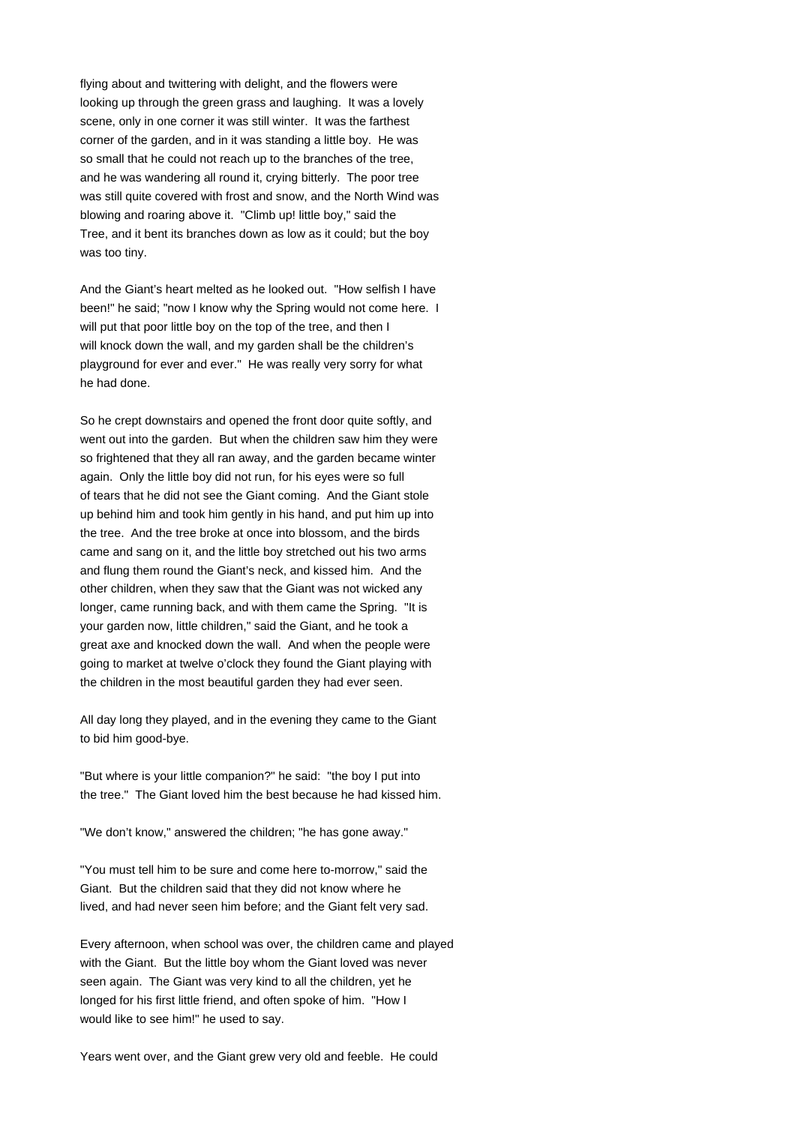flying about and twittering with delight, and the flowers were looking up through the green grass and laughing. It was a lovely scene, only in one corner it was still winter. It was the farthest corner of the garden, and in it was standing a little boy. He was so small that he could not reach up to the branches of the tree, and he was wandering all round it, crying bitterly. The poor tree was still quite covered with frost and snow, and the North Wind was blowing and roaring above it. "Climb up! little boy," said the Tree, and it bent its branches down as low as it could; but the boy was too tiny.

And the Giant's heart melted as he looked out. "How selfish I have been!" he said; "now I know why the Spring would not come here. I will put that poor little boy on the top of the tree, and then I will knock down the wall, and my garden shall be the children's playground for ever and ever." He was really very sorry for what he had done.

So he crept downstairs and opened the front door quite softly, and went out into the garden. But when the children saw him they were so frightened that they all ran away, and the garden became winter again. Only the little boy did not run, for his eyes were so full of tears that he did not see the Giant coming. And the Giant stole up behind him and took him gently in his hand, and put him up into the tree. And the tree broke at once into blossom, and the birds came and sang on it, and the little boy stretched out his two arms and flung them round the Giant's neck, and kissed him. And the other children, when they saw that the Giant was not wicked any longer, came running back, and with them came the Spring. "It is your garden now, little children," said the Giant, and he took a great axe and knocked down the wall. And when the people were going to market at twelve o'clock they found the Giant playing with the children in the most beautiful garden they had ever seen.

All day long they played, and in the evening they came to the Giant to bid him good-bye.

"But where is your little companion?" he said: "the boy I put into the tree." The Giant loved him the best because he had kissed him.

"We don't know," answered the children; "he has gone away."

"You must tell him to be sure and come here to-morrow," said the Giant. But the children said that they did not know where he lived, and had never seen him before; and the Giant felt very sad.

Every afternoon, when school was over, the children came and played with the Giant. But the little boy whom the Giant loved was never seen again. The Giant was very kind to all the children, yet he longed for his first little friend, and often spoke of him. "How I would like to see him!" he used to say.

Years went over, and the Giant grew very old and feeble. He could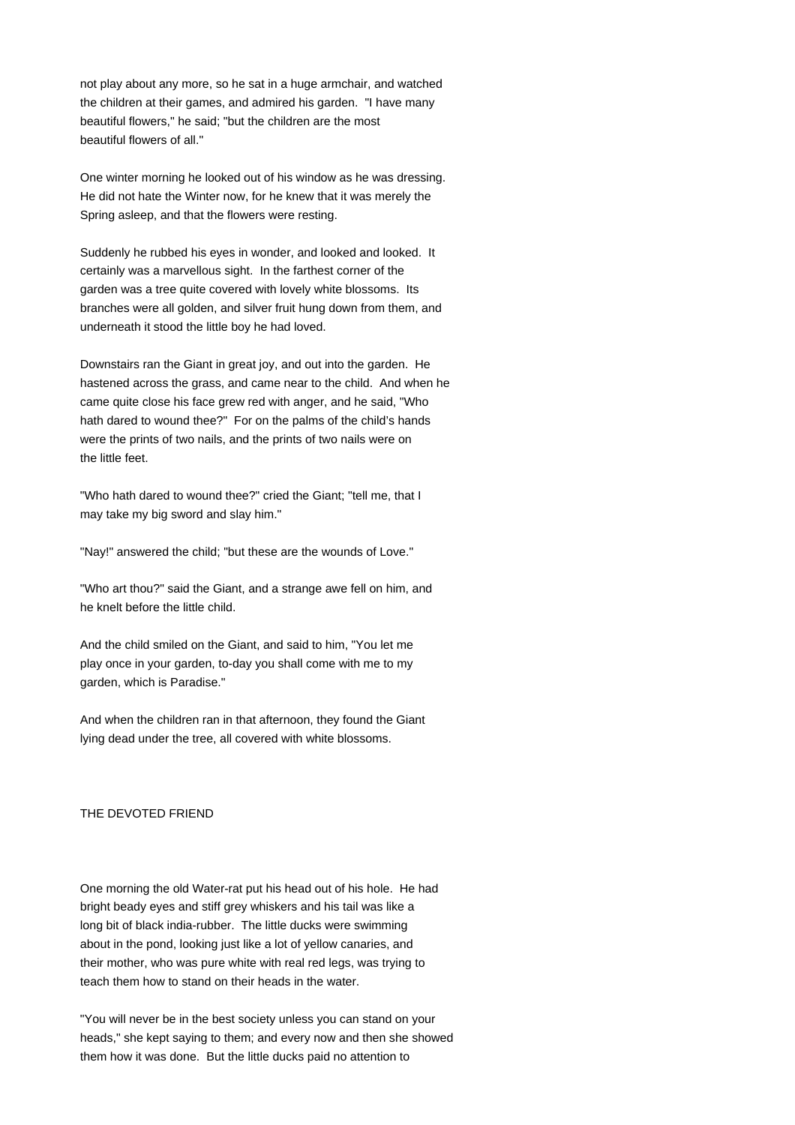not play about any more, so he sat in a huge armchair, and watched the children at their games, and admired his garden. "I have many beautiful flowers," he said; "but the children are the most beautiful flowers of all."

One winter morning he looked out of his window as he was dressing. He did not hate the Winter now, for he knew that it was merely the Spring asleep, and that the flowers were resting.

Suddenly he rubbed his eyes in wonder, and looked and looked. It certainly was a marvellous sight. In the farthest corner of the garden was a tree quite covered with lovely white blossoms. Its branches were all golden, and silver fruit hung down from them, and underneath it stood the little boy he had loved.

Downstairs ran the Giant in great joy, and out into the garden. He hastened across the grass, and came near to the child. And when he came quite close his face grew red with anger, and he said, "Who hath dared to wound thee?" For on the palms of the child's hands were the prints of two nails, and the prints of two nails were on the little feet.

"Who hath dared to wound thee?" cried the Giant; "tell me, that I may take my big sword and slay him."

"Nay!" answered the child; "but these are the wounds of Love."

"Who art thou?" said the Giant, and a strange awe fell on him, and he knelt before the little child.

And the child smiled on the Giant, and said to him, "You let me play once in your garden, to-day you shall come with me to my garden, which is Paradise."

And when the children ran in that afternoon, they found the Giant lying dead under the tree, all covered with white blossoms.

# THE DEVOTED FRIEND

One morning the old Water-rat put his head out of his hole. He had bright beady eyes and stiff grey whiskers and his tail was like a long bit of black india-rubber. The little ducks were swimming about in the pond, looking just like a lot of yellow canaries, and their mother, who was pure white with real red legs, was trying to teach them how to stand on their heads in the water.

"You will never be in the best society unless you can stand on your heads," she kept saying to them; and every now and then she showed them how it was done. But the little ducks paid no attention to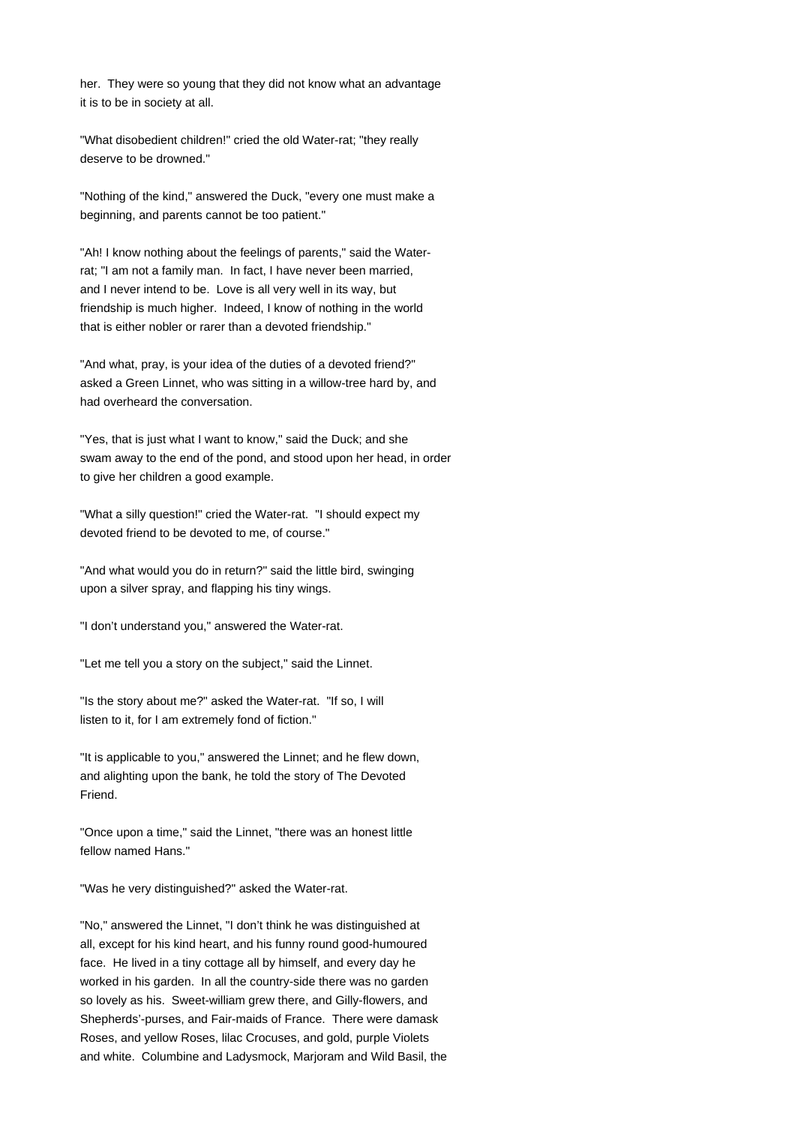her. They were so young that they did not know what an advantage it is to be in society at all.

"What disobedient children!" cried the old Water-rat; "they really deserve to be drowned."

"Nothing of the kind," answered the Duck, "every one must make a beginning, and parents cannot be too patient."

"Ah! I know nothing about the feelings of parents," said the Waterrat; "I am not a family man. In fact, I have never been married, and I never intend to be. Love is all very well in its way, but friendship is much higher. Indeed, I know of nothing in the world that is either nobler or rarer than a devoted friendship."

"And what, pray, is your idea of the duties of a devoted friend?" asked a Green Linnet, who was sitting in a willow-tree hard by, and had overheard the conversation.

"Yes, that is just what I want to know," said the Duck; and she swam away to the end of the pond, and stood upon her head, in order to give her children a good example.

"What a silly question!" cried the Water-rat. "I should expect my devoted friend to be devoted to me, of course."

"And what would you do in return?" said the little bird, swinging upon a silver spray, and flapping his tiny wings.

"I don't understand you," answered the Water-rat.

"Let me tell you a story on the subject," said the Linnet.

"Is the story about me?" asked the Water-rat. "If so, I will listen to it, for I am extremely fond of fiction."

"It is applicable to you," answered the Linnet; and he flew down, and alighting upon the bank, he told the story of The Devoted Friend.

"Once upon a time," said the Linnet, "there was an honest little fellow named Hans."

"Was he very distinguished?" asked the Water-rat.

"No," answered the Linnet, "I don't think he was distinguished at all, except for his kind heart, and his funny round good-humoured face. He lived in a tiny cottage all by himself, and every day he worked in his garden. In all the country-side there was no garden so lovely as his. Sweet-william grew there, and Gilly-flowers, and Shepherds'-purses, and Fair-maids of France. There were damask Roses, and yellow Roses, lilac Crocuses, and gold, purple Violets and white. Columbine and Ladysmock, Marjoram and Wild Basil, the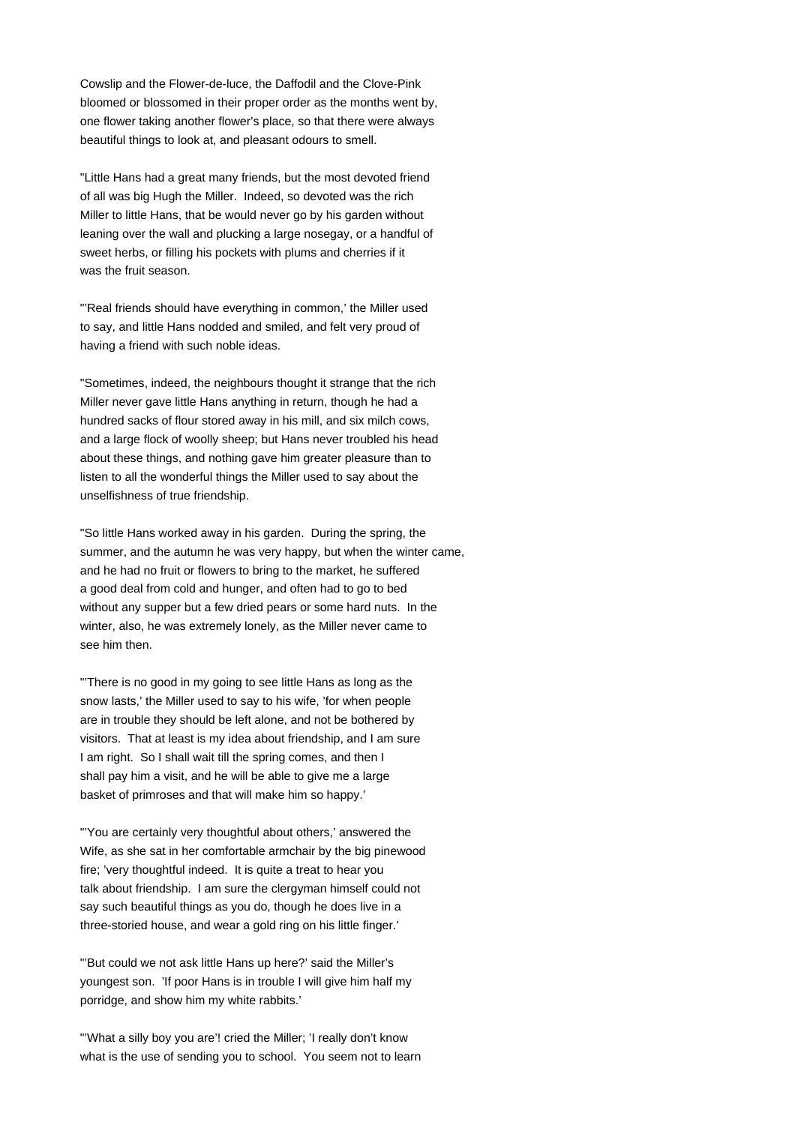Cowslip and the Flower-de-luce, the Daffodil and the Clove-Pink bloomed or blossomed in their proper order as the months went by, one flower taking another flower's place, so that there were always beautiful things to look at, and pleasant odours to smell.

"Little Hans had a great many friends, but the most devoted friend of all was big Hugh the Miller. Indeed, so devoted was the rich Miller to little Hans, that be would never go by his garden without leaning over the wall and plucking a large nosegay, or a handful of sweet herbs, or filling his pockets with plums and cherries if it was the fruit season.

"'Real friends should have everything in common,' the Miller used to say, and little Hans nodded and smiled, and felt very proud of having a friend with such noble ideas.

"Sometimes, indeed, the neighbours thought it strange that the rich Miller never gave little Hans anything in return, though he had a hundred sacks of flour stored away in his mill, and six milch cows, and a large flock of woolly sheep; but Hans never troubled his head about these things, and nothing gave him greater pleasure than to listen to all the wonderful things the Miller used to say about the unselfishness of true friendship.

"So little Hans worked away in his garden. During the spring, the summer, and the autumn he was very happy, but when the winter came, and he had no fruit or flowers to bring to the market, he suffered a good deal from cold and hunger, and often had to go to bed without any supper but a few dried pears or some hard nuts. In the winter, also, he was extremely lonely, as the Miller never came to see him then.

"'There is no good in my going to see little Hans as long as the snow lasts,' the Miller used to say to his wife, 'for when people are in trouble they should be left alone, and not be bothered by visitors. That at least is my idea about friendship, and I am sure I am right. So I shall wait till the spring comes, and then I shall pay him a visit, and he will be able to give me a large basket of primroses and that will make him so happy.'

"'You are certainly very thoughtful about others,' answered the Wife, as she sat in her comfortable armchair by the big pinewood fire; 'very thoughtful indeed. It is quite a treat to hear you talk about friendship. I am sure the clergyman himself could not say such beautiful things as you do, though he does live in a three-storied house, and wear a gold ring on his little finger.'

"'But could we not ask little Hans up here?' said the Miller's youngest son. 'If poor Hans is in trouble I will give him half my porridge, and show him my white rabbits.'

"'What a silly boy you are'! cried the Miller; 'I really don't know what is the use of sending you to school. You seem not to learn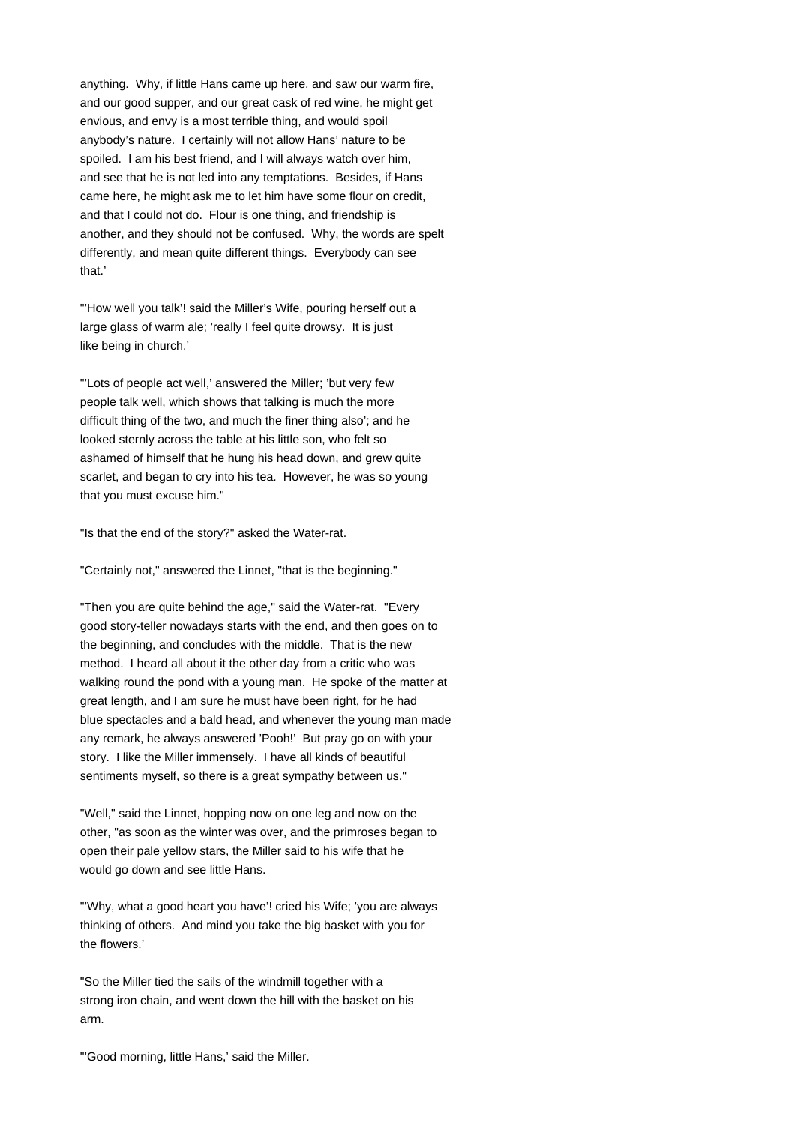anything. Why, if little Hans came up here, and saw our warm fire, and our good supper, and our great cask of red wine, he might get envious, and envy is a most terrible thing, and would spoil anybody's nature. I certainly will not allow Hans' nature to be spoiled. I am his best friend, and I will always watch over him, and see that he is not led into any temptations. Besides, if Hans came here, he might ask me to let him have some flour on credit, and that I could not do. Flour is one thing, and friendship is another, and they should not be confused. Why, the words are spelt differently, and mean quite different things. Everybody can see that.'

"'How well you talk'! said the Miller's Wife, pouring herself out a large glass of warm ale; 'really I feel quite drowsy. It is just like being in church.'

"'Lots of people act well,' answered the Miller; 'but very few people talk well, which shows that talking is much the more difficult thing of the two, and much the finer thing also'; and he looked sternly across the table at his little son, who felt so ashamed of himself that he hung his head down, and grew quite scarlet, and began to cry into his tea. However, he was so young that you must excuse him."

"Is that the end of the story?" asked the Water-rat.

"Certainly not," answered the Linnet, "that is the beginning."

"Then you are quite behind the age," said the Water-rat. "Every good story-teller nowadays starts with the end, and then goes on to the beginning, and concludes with the middle. That is the new method. I heard all about it the other day from a critic who was walking round the pond with a young man. He spoke of the matter at great length, and I am sure he must have been right, for he had blue spectacles and a bald head, and whenever the young man made any remark, he always answered 'Pooh!' But pray go on with your story. I like the Miller immensely. I have all kinds of beautiful sentiments myself, so there is a great sympathy between us."

"Well," said the Linnet, hopping now on one leg and now on the other, "as soon as the winter was over, and the primroses began to open their pale yellow stars, the Miller said to his wife that he would go down and see little Hans.

"'Why, what a good heart you have'! cried his Wife; 'you are always thinking of others. And mind you take the big basket with you for the flowers.'

"So the Miller tied the sails of the windmill together with a strong iron chain, and went down the hill with the basket on his arm.

"'Good morning, little Hans,' said the Miller.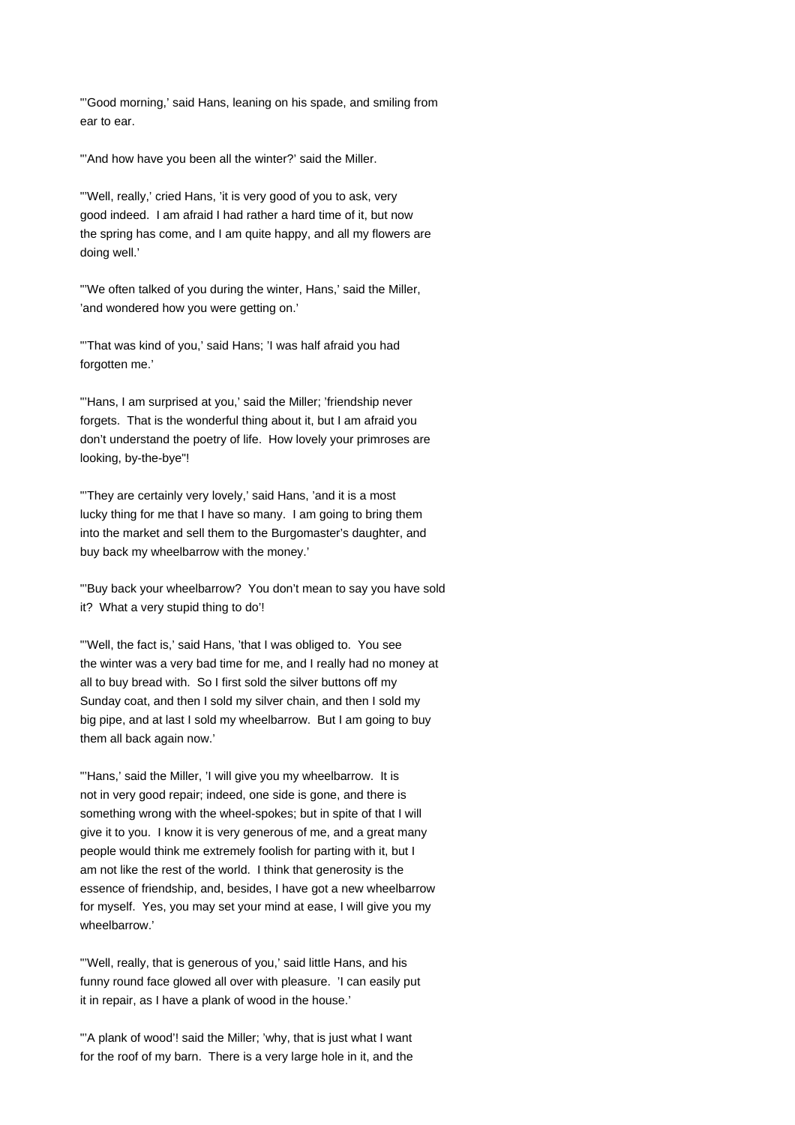"'Good morning,' said Hans, leaning on his spade, and smiling from ear to ear.

"'And how have you been all the winter?' said the Miller.

"'Well, really,' cried Hans, 'it is very good of you to ask, very good indeed. I am afraid I had rather a hard time of it, but now the spring has come, and I am quite happy, and all my flowers are doing well.'

"'We often talked of you during the winter, Hans,' said the Miller, 'and wondered how you were getting on.'

"'That was kind of you,' said Hans; 'I was half afraid you had forgotten me.'

"'Hans, I am surprised at you,' said the Miller; 'friendship never forgets. That is the wonderful thing about it, but I am afraid you don't understand the poetry of life. How lovely your primroses are looking, by-the-bye"!

"'They are certainly very lovely,' said Hans, 'and it is a most lucky thing for me that I have so many. I am going to bring them into the market and sell them to the Burgomaster's daughter, and buy back my wheelbarrow with the money.'

"'Buy back your wheelbarrow? You don't mean to say you have sold it? What a very stupid thing to do'!

"'Well, the fact is,' said Hans, 'that I was obliged to. You see the winter was a very bad time for me, and I really had no money at all to buy bread with. So I first sold the silver buttons off my Sunday coat, and then I sold my silver chain, and then I sold my big pipe, and at last I sold my wheelbarrow. But I am going to buy them all back again now.'

"'Hans,' said the Miller, 'I will give you my wheelbarrow. It is not in very good repair; indeed, one side is gone, and there is something wrong with the wheel-spokes; but in spite of that I will give it to you. I know it is very generous of me, and a great many people would think me extremely foolish for parting with it, but I am not like the rest of the world. I think that generosity is the essence of friendship, and, besides, I have got a new wheelbarrow for myself. Yes, you may set your mind at ease, I will give you my wheelbarrow.'

"'Well, really, that is generous of you,' said little Hans, and his funny round face glowed all over with pleasure. 'I can easily put it in repair, as I have a plank of wood in the house.'

"'A plank of wood'! said the Miller; 'why, that is just what I want for the roof of my barn. There is a very large hole in it, and the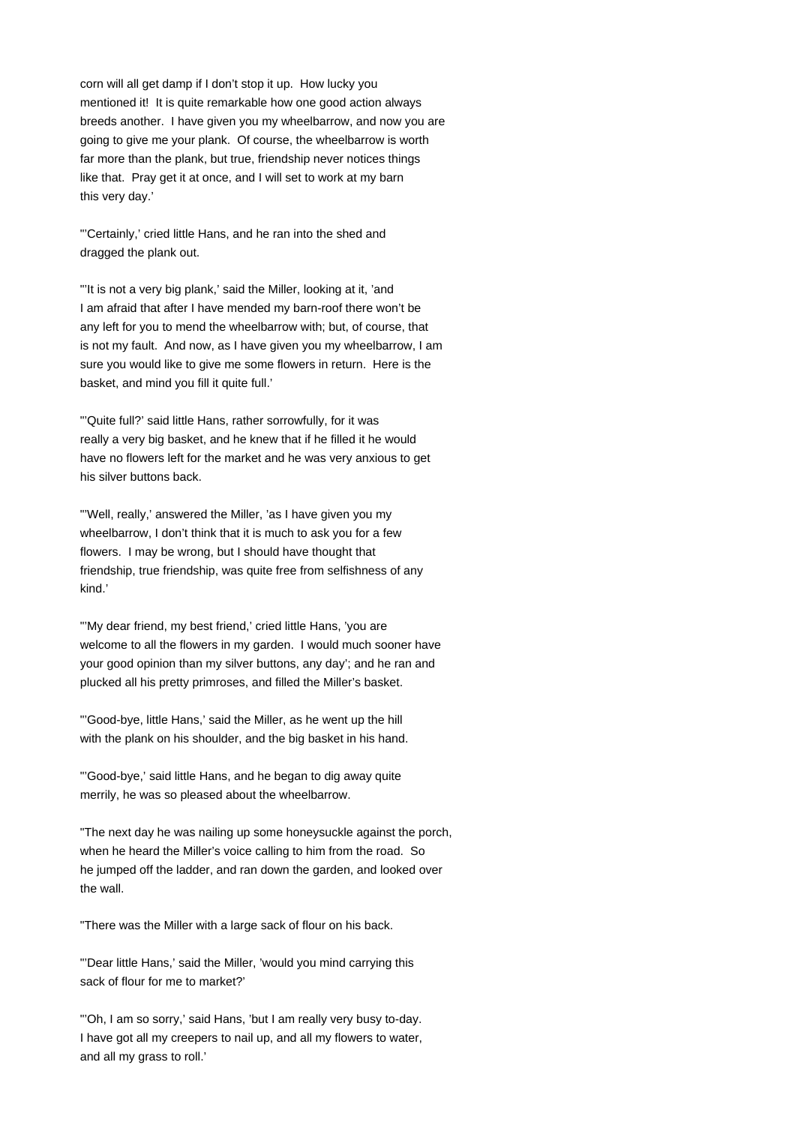corn will all get damp if I don't stop it up. How lucky you mentioned it! It is quite remarkable how one good action always breeds another. I have given you my wheelbarrow, and now you are going to give me your plank. Of course, the wheelbarrow is worth far more than the plank, but true, friendship never notices things like that. Pray get it at once, and I will set to work at my barn this very day.'

"'Certainly,' cried little Hans, and he ran into the shed and dragged the plank out.

"'It is not a very big plank,' said the Miller, looking at it, 'and I am afraid that after I have mended my barn-roof there won't be any left for you to mend the wheelbarrow with; but, of course, that is not my fault. And now, as I have given you my wheelbarrow, I am sure you would like to give me some flowers in return. Here is the basket, and mind you fill it quite full.'

"'Quite full?' said little Hans, rather sorrowfully, for it was really a very big basket, and he knew that if he filled it he would have no flowers left for the market and he was very anxious to get his silver buttons back.

"'Well, really,' answered the Miller, 'as I have given you my wheelbarrow, I don't think that it is much to ask you for a few flowers. I may be wrong, but I should have thought that friendship, true friendship, was quite free from selfishness of any kind.'

"'My dear friend, my best friend,' cried little Hans, 'you are welcome to all the flowers in my garden. I would much sooner have your good opinion than my silver buttons, any day'; and he ran and plucked all his pretty primroses, and filled the Miller's basket.

"'Good-bye, little Hans,' said the Miller, as he went up the hill with the plank on his shoulder, and the big basket in his hand.

"'Good-bye,' said little Hans, and he began to dig away quite merrily, he was so pleased about the wheelbarrow.

"The next day he was nailing up some honeysuckle against the porch, when he heard the Miller's voice calling to him from the road. So he jumped off the ladder, and ran down the garden, and looked over the wall.

"There was the Miller with a large sack of flour on his back.

"'Dear little Hans,' said the Miller, 'would you mind carrying this sack of flour for me to market?'

"'Oh, I am so sorry,' said Hans, 'but I am really very busy to-day. I have got all my creepers to nail up, and all my flowers to water, and all my grass to roll.'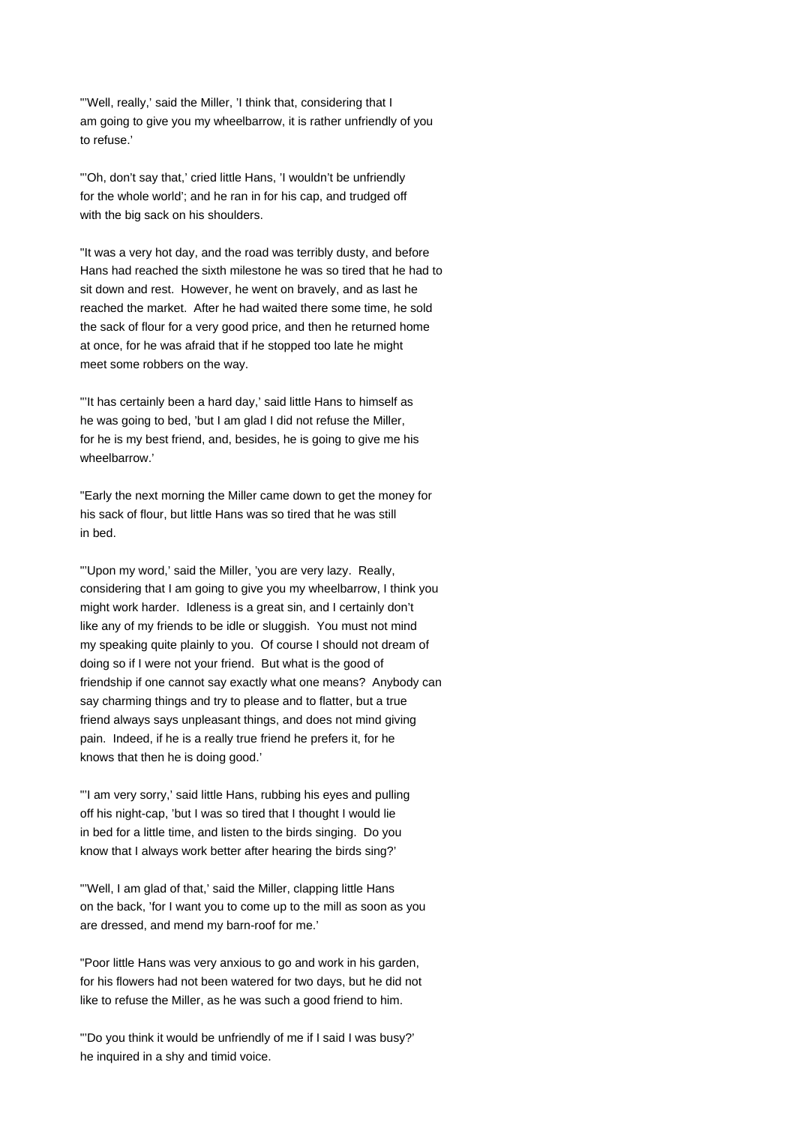"'Well, really,' said the Miller, 'I think that, considering that I am going to give you my wheelbarrow, it is rather unfriendly of you to refuse.'

"'Oh, don't say that,' cried little Hans, 'I wouldn't be unfriendly for the whole world'; and he ran in for his cap, and trudged off with the big sack on his shoulders.

"It was a very hot day, and the road was terribly dusty, and before Hans had reached the sixth milestone he was so tired that he had to sit down and rest. However, he went on bravely, and as last he reached the market. After he had waited there some time, he sold the sack of flour for a very good price, and then he returned home at once, for he was afraid that if he stopped too late he might meet some robbers on the way.

"'It has certainly been a hard day,' said little Hans to himself as he was going to bed, 'but I am glad I did not refuse the Miller, for he is my best friend, and, besides, he is going to give me his wheelbarrow.'

"Early the next morning the Miller came down to get the money for his sack of flour, but little Hans was so tired that he was still in bed.

"'Upon my word,' said the Miller, 'you are very lazy. Really, considering that I am going to give you my wheelbarrow, I think you might work harder. Idleness is a great sin, and I certainly don't like any of my friends to be idle or sluggish. You must not mind my speaking quite plainly to you. Of course I should not dream of doing so if I were not your friend. But what is the good of friendship if one cannot say exactly what one means? Anybody can say charming things and try to please and to flatter, but a true friend always says unpleasant things, and does not mind giving pain. Indeed, if he is a really true friend he prefers it, for he knows that then he is doing good.'

"'I am very sorry,' said little Hans, rubbing his eyes and pulling off his night-cap, 'but I was so tired that I thought I would lie in bed for a little time, and listen to the birds singing. Do you know that I always work better after hearing the birds sing?'

"'Well, I am glad of that,' said the Miller, clapping little Hans on the back, 'for I want you to come up to the mill as soon as you are dressed, and mend my barn-roof for me.'

"Poor little Hans was very anxious to go and work in his garden, for his flowers had not been watered for two days, but he did not like to refuse the Miller, as he was such a good friend to him.

"'Do you think it would be unfriendly of me if I said I was busy?' he inquired in a shy and timid voice.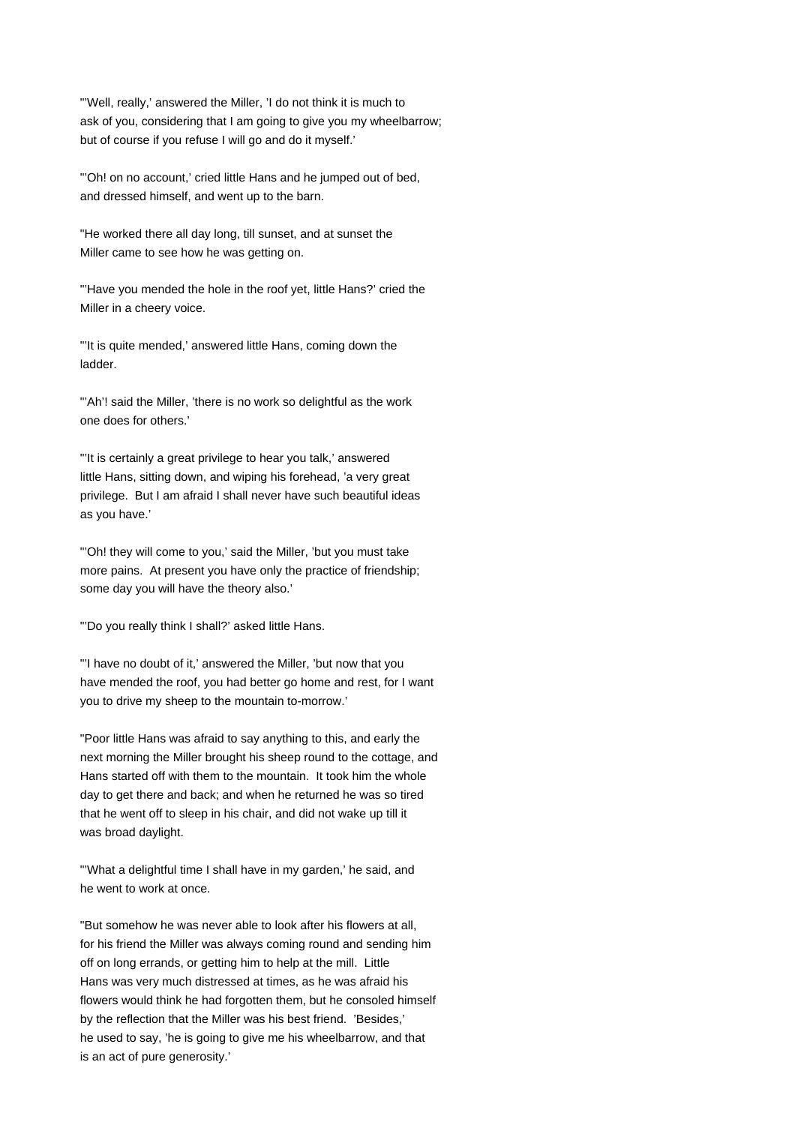"'Well, really,' answered the Miller, 'I do not think it is much to ask of you, considering that I am going to give you my wheelbarrow; but of course if you refuse I will go and do it myself.'

"'Oh! on no account,' cried little Hans and he jumped out of bed, and dressed himself, and went up to the barn.

"He worked there all day long, till sunset, and at sunset the Miller came to see how he was getting on.

"'Have you mended the hole in the roof yet, little Hans?' cried the Miller in a cheery voice.

"'It is quite mended,' answered little Hans, coming down the ladder.

"'Ah'! said the Miller, 'there is no work so delightful as the work one does for others.'

"'It is certainly a great privilege to hear you talk,' answered little Hans, sitting down, and wiping his forehead, 'a very great privilege. But I am afraid I shall never have such beautiful ideas as you have.'

"'Oh! they will come to you,' said the Miller, 'but you must take more pains. At present you have only the practice of friendship; some day you will have the theory also.'

"'Do you really think I shall?' asked little Hans.

"'I have no doubt of it,' answered the Miller, 'but now that you have mended the roof, you had better go home and rest, for I want you to drive my sheep to the mountain to-morrow.'

"Poor little Hans was afraid to say anything to this, and early the next morning the Miller brought his sheep round to the cottage, and Hans started off with them to the mountain. It took him the whole day to get there and back; and when he returned he was so tired that he went off to sleep in his chair, and did not wake up till it was broad daylight.

"'What a delightful time I shall have in my garden,' he said, and he went to work at once.

"But somehow he was never able to look after his flowers at all, for his friend the Miller was always coming round and sending him off on long errands, or getting him to help at the mill. Little Hans was very much distressed at times, as he was afraid his flowers would think he had forgotten them, but he consoled himself by the reflection that the Miller was his best friend. 'Besides,' he used to say, 'he is going to give me his wheelbarrow, and that is an act of pure generosity.'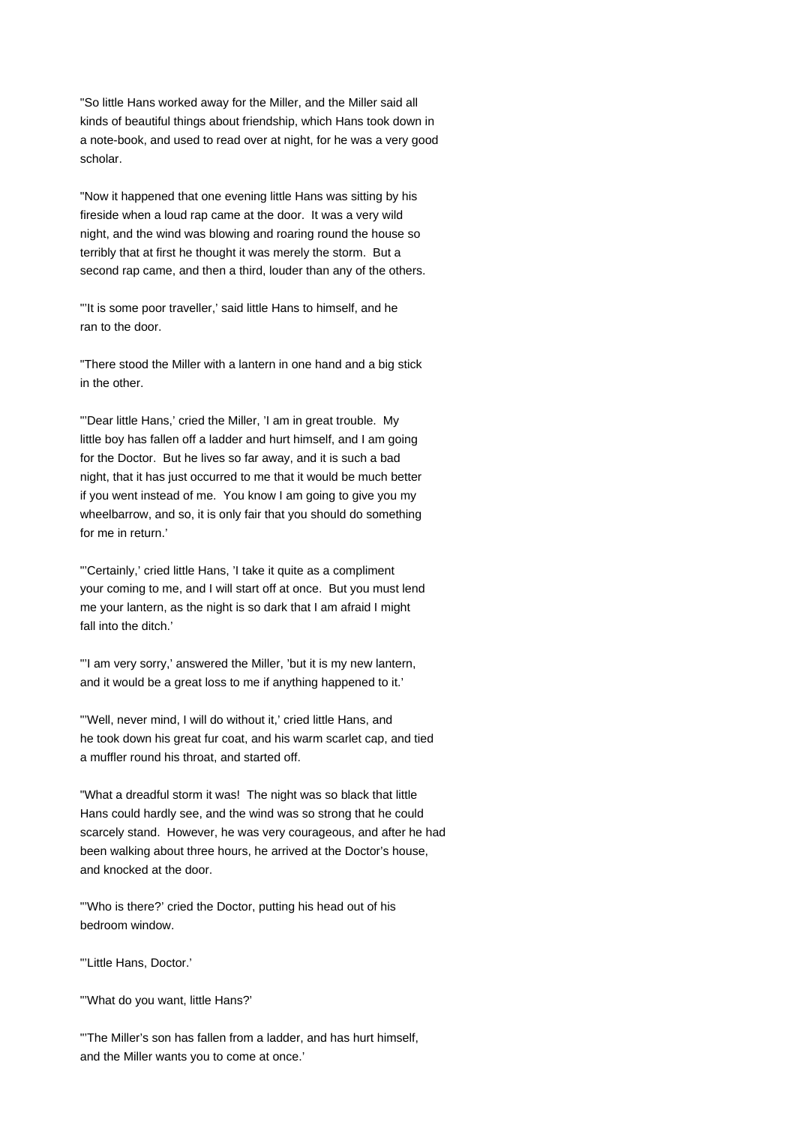"So little Hans worked away for the Miller, and the Miller said all kinds of beautiful things about friendship, which Hans took down in a note-book, and used to read over at night, for he was a very good scholar.

"Now it happened that one evening little Hans was sitting by his fireside when a loud rap came at the door. It was a very wild night, and the wind was blowing and roaring round the house so terribly that at first he thought it was merely the storm. But a second rap came, and then a third, louder than any of the others.

"'It is some poor traveller,' said little Hans to himself, and he ran to the door.

"There stood the Miller with a lantern in one hand and a big stick in the other.

"'Dear little Hans,' cried the Miller, 'I am in great trouble. My little boy has fallen off a ladder and hurt himself, and I am going for the Doctor. But he lives so far away, and it is such a bad night, that it has just occurred to me that it would be much better if you went instead of me. You know I am going to give you my wheelbarrow, and so, it is only fair that you should do something for me in return.'

"'Certainly,' cried little Hans, 'I take it quite as a compliment your coming to me, and I will start off at once. But you must lend me your lantern, as the night is so dark that I am afraid I might fall into the ditch.'

"'I am very sorry,' answered the Miller, 'but it is my new lantern, and it would be a great loss to me if anything happened to it.'

"'Well, never mind, I will do without it,' cried little Hans, and he took down his great fur coat, and his warm scarlet cap, and tied a muffler round his throat, and started off.

"What a dreadful storm it was! The night was so black that little Hans could hardly see, and the wind was so strong that he could scarcely stand. However, he was very courageous, and after he had been walking about three hours, he arrived at the Doctor's house, and knocked at the door.

"'Who is there?' cried the Doctor, putting his head out of his bedroom window.

"'Little Hans, Doctor.'

"'What do you want, little Hans?'

"'The Miller's son has fallen from a ladder, and has hurt himself, and the Miller wants you to come at once.'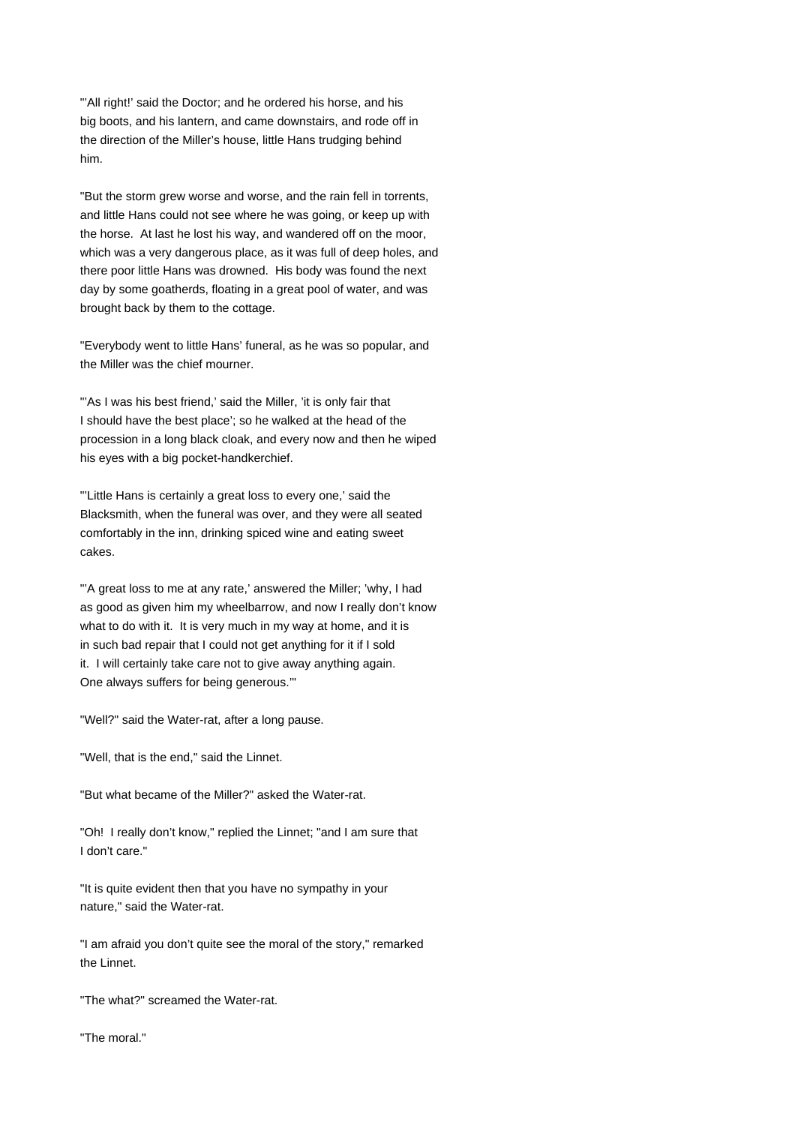"'All right!' said the Doctor; and he ordered his horse, and his big boots, and his lantern, and came downstairs, and rode off in the direction of the Miller's house, little Hans trudging behind him.

"But the storm grew worse and worse, and the rain fell in torrents, and little Hans could not see where he was going, or keep up with the horse. At last he lost his way, and wandered off on the moor, which was a very dangerous place, as it was full of deep holes, and there poor little Hans was drowned. His body was found the next day by some goatherds, floating in a great pool of water, and was brought back by them to the cottage.

"Everybody went to little Hans' funeral, as he was so popular, and the Miller was the chief mourner.

"'As I was his best friend,' said the Miller, 'it is only fair that I should have the best place'; so he walked at the head of the procession in a long black cloak, and every now and then he wiped his eyes with a big pocket-handkerchief.

"'Little Hans is certainly a great loss to every one,' said the Blacksmith, when the funeral was over, and they were all seated comfortably in the inn, drinking spiced wine and eating sweet cakes.

"'A great loss to me at any rate,' answered the Miller; 'why, I had as good as given him my wheelbarrow, and now I really don't know what to do with it. It is very much in my way at home, and it is in such bad repair that I could not get anything for it if I sold it. I will certainly take care not to give away anything again. One always suffers for being generous.'"

"Well?" said the Water-rat, after a long pause.

"Well, that is the end," said the Linnet.

"But what became of the Miller?" asked the Water-rat.

"Oh! I really don't know," replied the Linnet; "and I am sure that I don't care."

"It is quite evident then that you have no sympathy in your nature," said the Water-rat.

"I am afraid you don't quite see the moral of the story," remarked the Linnet.

"The what?" screamed the Water-rat.

"The moral"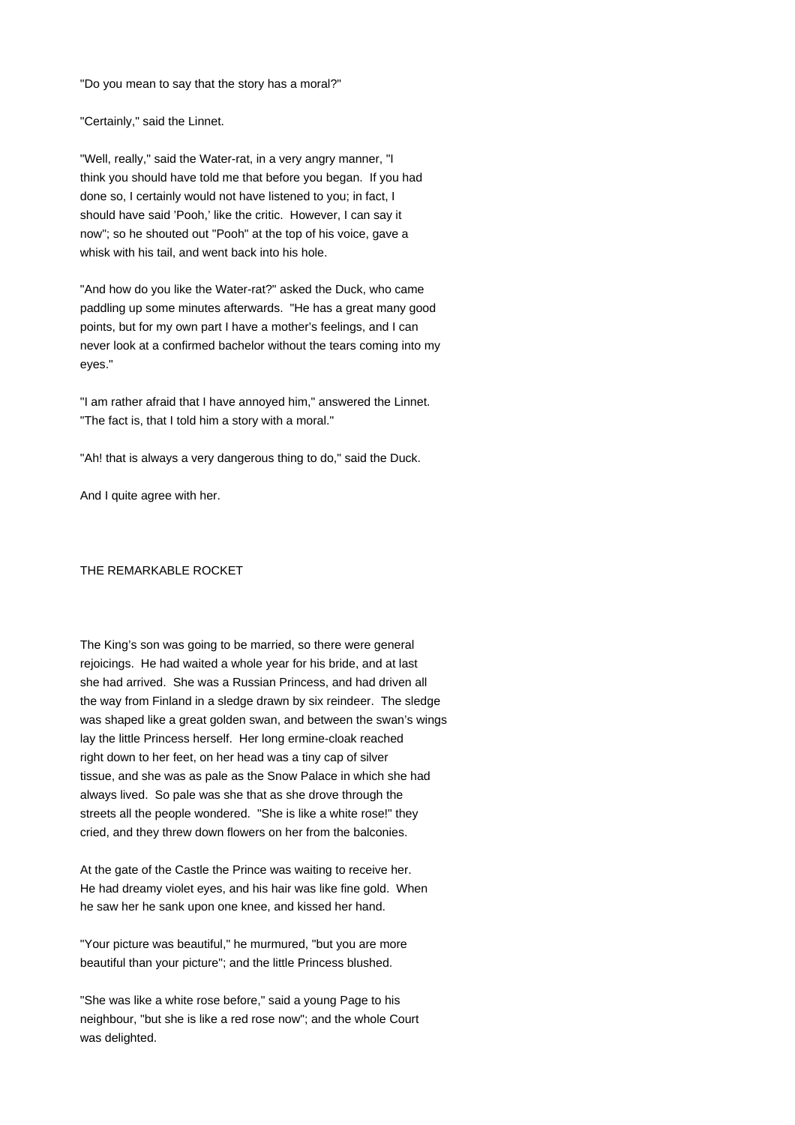"Do you mean to say that the story has a moral?"

"Certainly," said the Linnet.

"Well, really," said the Water-rat, in a very angry manner, "I think you should have told me that before you began. If you had done so, I certainly would not have listened to you; in fact, I should have said 'Pooh,' like the critic. However, I can say it now"; so he shouted out "Pooh" at the top of his voice, gave a whisk with his tail, and went back into his hole.

"And how do you like the Water-rat?" asked the Duck, who came paddling up some minutes afterwards. "He has a great many good points, but for my own part I have a mother's feelings, and I can never look at a confirmed bachelor without the tears coming into my eyes."

"I am rather afraid that I have annoyed him," answered the Linnet. "The fact is, that I told him a story with a moral."

"Ah! that is always a very dangerous thing to do," said the Duck.

And I quite agree with her.

THE REMARKABLE ROCKET

The King's son was going to be married, so there were general rejoicings. He had waited a whole year for his bride, and at last she had arrived. She was a Russian Princess, and had driven all the way from Finland in a sledge drawn by six reindeer. The sledge was shaped like a great golden swan, and between the swan's wings lay the little Princess herself. Her long ermine-cloak reached right down to her feet, on her head was a tiny cap of silver tissue, and she was as pale as the Snow Palace in which she had always lived. So pale was she that as she drove through the streets all the people wondered. "She is like a white rose!" they cried, and they threw down flowers on her from the balconies.

At the gate of the Castle the Prince was waiting to receive her. He had dreamy violet eyes, and his hair was like fine gold. When he saw her he sank upon one knee, and kissed her hand.

"Your picture was beautiful," he murmured, "but you are more beautiful than your picture"; and the little Princess blushed.

"She was like a white rose before," said a young Page to his neighbour, "but she is like a red rose now"; and the whole Court was delighted.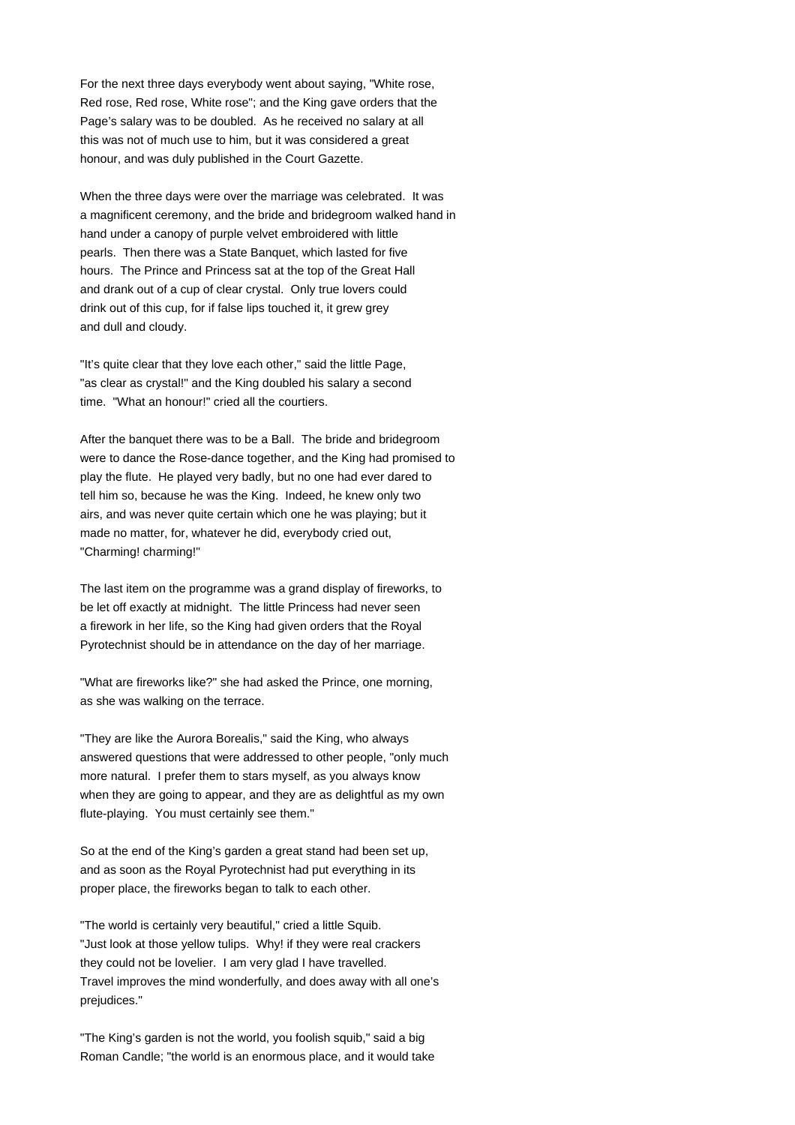For the next three days everybody went about saying, "White rose, Red rose, Red rose, White rose"; and the King gave orders that the Page's salary was to be doubled. As he received no salary at all this was not of much use to him, but it was considered a great honour, and was duly published in the Court Gazette.

When the three days were over the marriage was celebrated. It was a magnificent ceremony, and the bride and bridegroom walked hand in hand under a canopy of purple velvet embroidered with little pearls. Then there was a State Banquet, which lasted for five hours. The Prince and Princess sat at the top of the Great Hall and drank out of a cup of clear crystal. Only true lovers could drink out of this cup, for if false lips touched it, it grew grey and dull and cloudy.

"It's quite clear that they love each other," said the little Page, "as clear as crystal!" and the King doubled his salary a second time. "What an honour!" cried all the courtiers.

After the banquet there was to be a Ball. The bride and bridegroom were to dance the Rose-dance together, and the King had promised to play the flute. He played very badly, but no one had ever dared to tell him so, because he was the King. Indeed, he knew only two airs, and was never quite certain which one he was playing; but it made no matter, for, whatever he did, everybody cried out, "Charming! charming!"

The last item on the programme was a grand display of fireworks, to be let off exactly at midnight. The little Princess had never seen a firework in her life, so the King had given orders that the Royal Pyrotechnist should be in attendance on the day of her marriage.

"What are fireworks like?" she had asked the Prince, one morning, as she was walking on the terrace.

"They are like the Aurora Borealis," said the King, who always answered questions that were addressed to other people, "only much more natural. I prefer them to stars myself, as you always know when they are going to appear, and they are as delightful as my own flute-playing. You must certainly see them."

So at the end of the King's garden a great stand had been set up, and as soon as the Royal Pyrotechnist had put everything in its proper place, the fireworks began to talk to each other.

"The world is certainly very beautiful," cried a little Squib. "Just look at those yellow tulips. Why! if they were real crackers they could not be lovelier. I am very glad I have travelled. Travel improves the mind wonderfully, and does away with all one's prejudices."

"The King's garden is not the world, you foolish squib," said a big Roman Candle; "the world is an enormous place, and it would take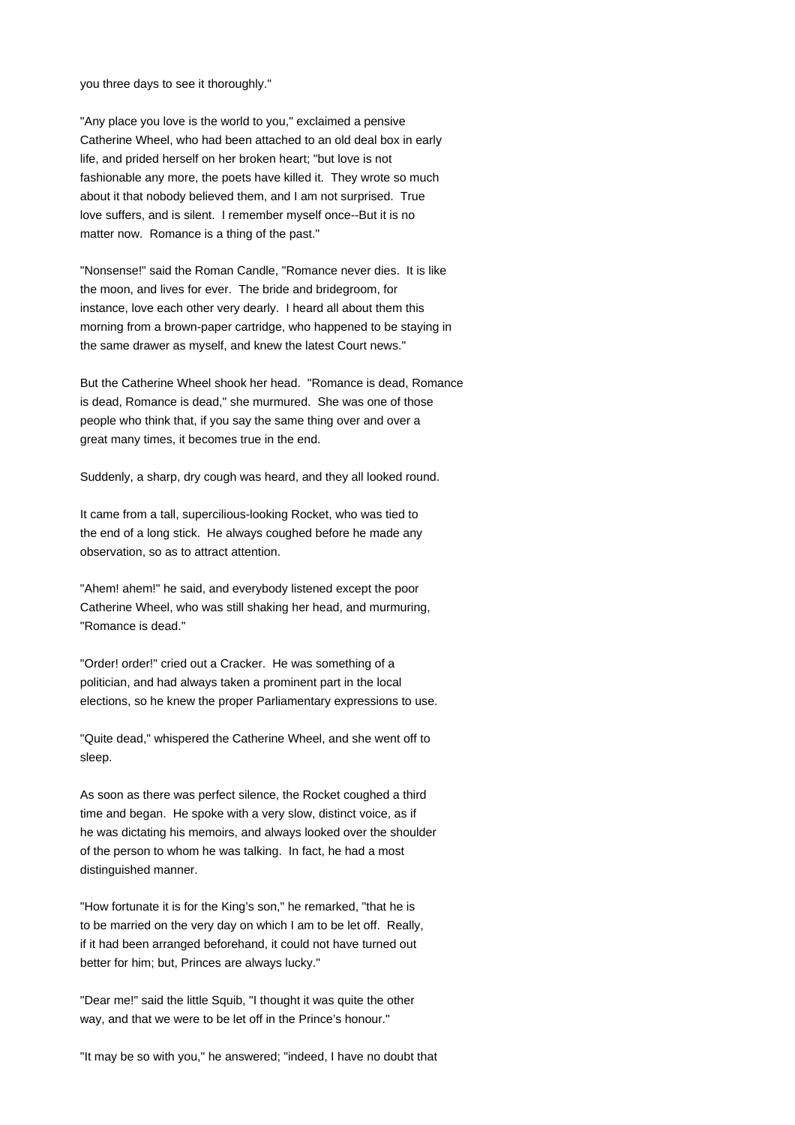you three days to see it thoroughly."

"Any place you love is the world to you," exclaimed a pensive Catherine Wheel, who had been attached to an old deal box in early life, and prided herself on her broken heart; "but love is not fashionable any more, the poets have killed it. They wrote so much about it that nobody believed them, and I am not surprised. True love suffers, and is silent. I remember myself once--But it is no matter now. Romance is a thing of the past."

"Nonsense!" said the Roman Candle, "Romance never dies. It is like the moon, and lives for ever. The bride and bridegroom, for instance, love each other very dearly. I heard all about them this morning from a brown-paper cartridge, who happened to be staying in the same drawer as myself, and knew the latest Court news."

But the Catherine Wheel shook her head. "Romance is dead, Romance is dead, Romance is dead," she murmured. She was one of those people who think that, if you say the same thing over and over a great many times, it becomes true in the end.

Suddenly, a sharp, dry cough was heard, and they all looked round.

It came from a tall, supercilious-looking Rocket, who was tied to the end of a long stick. He always coughed before he made any observation, so as to attract attention.

"Ahem! ahem!" he said, and everybody listened except the poor Catherine Wheel, who was still shaking her head, and murmuring, "Romance is dead."

"Order! order!" cried out a Cracker. He was something of a politician, and had always taken a prominent part in the local elections, so he knew the proper Parliamentary expressions to use.

"Quite dead," whispered the Catherine Wheel, and she went off to sleep.

As soon as there was perfect silence, the Rocket coughed a third time and began. He spoke with a very slow, distinct voice, as if he was dictating his memoirs, and always looked over the shoulder of the person to whom he was talking. In fact, he had a most distinguished manner.

"How fortunate it is for the King's son," he remarked, "that he is to be married on the very day on which I am to be let off. Really, if it had been arranged beforehand, it could not have turned out better for him; but, Princes are always lucky."

"Dear me!" said the little Squib, "I thought it was quite the other way, and that we were to be let off in the Prince's honour."

"It may be so with you," he answered; "indeed, I have no doubt that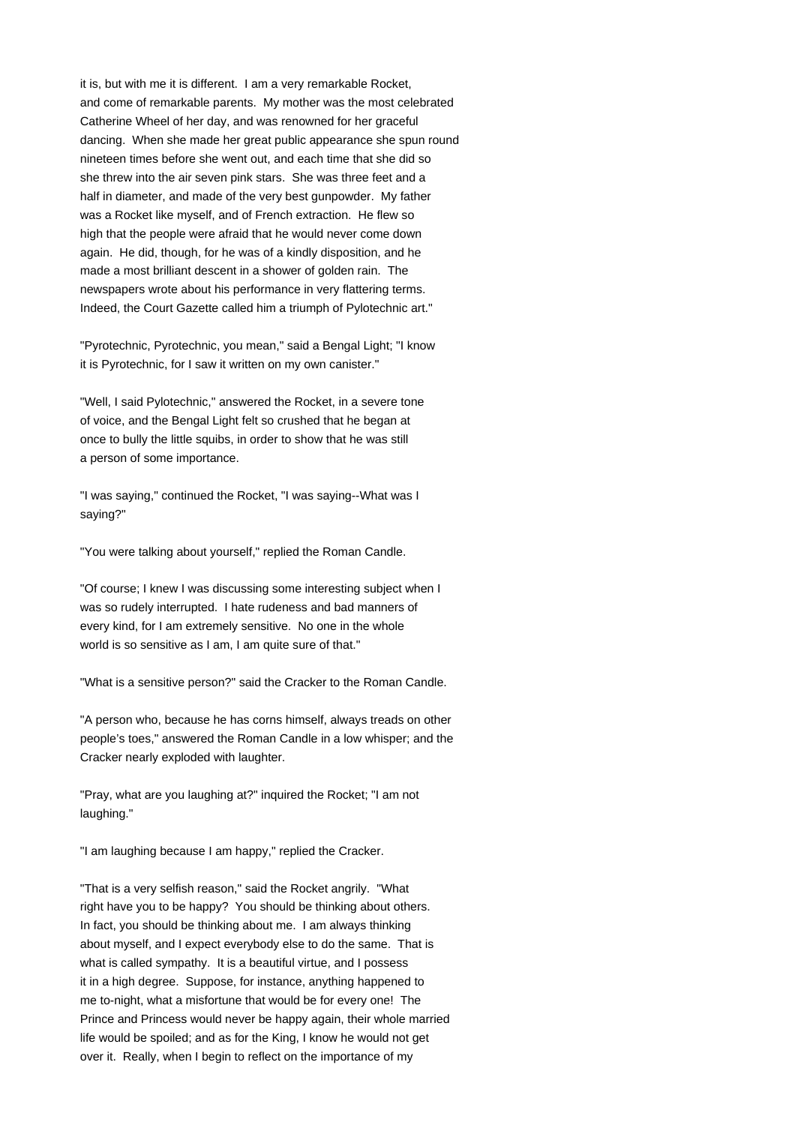it is, but with me it is different. I am a very remarkable Rocket, and come of remarkable parents. My mother was the most celebrated Catherine Wheel of her day, and was renowned for her graceful dancing. When she made her great public appearance she spun round nineteen times before she went out, and each time that she did so she threw into the air seven pink stars. She was three feet and a half in diameter, and made of the very best gunpowder. My father was a Rocket like myself, and of French extraction. He flew so high that the people were afraid that he would never come down again. He did, though, for he was of a kindly disposition, and he made a most brilliant descent in a shower of golden rain. The newspapers wrote about his performance in very flattering terms. Indeed, the Court Gazette called him a triumph of Pylotechnic art."

"Pyrotechnic, Pyrotechnic, you mean," said a Bengal Light; "I know it is Pyrotechnic, for I saw it written on my own canister."

"Well, I said Pylotechnic," answered the Rocket, in a severe tone of voice, and the Bengal Light felt so crushed that he began at once to bully the little squibs, in order to show that he was still a person of some importance.

"I was saying," continued the Rocket, "I was saying--What was I saying?"

"You were talking about yourself," replied the Roman Candle.

"Of course; I knew I was discussing some interesting subject when I was so rudely interrupted. I hate rudeness and bad manners of every kind, for I am extremely sensitive. No one in the whole world is so sensitive as I am, I am quite sure of that."

"What is a sensitive person?" said the Cracker to the Roman Candle.

"A person who, because he has corns himself, always treads on other people's toes," answered the Roman Candle in a low whisper; and the Cracker nearly exploded with laughter.

"Pray, what are you laughing at?" inquired the Rocket; "I am not laughing."

"I am laughing because I am happy," replied the Cracker.

"That is a very selfish reason," said the Rocket angrily. "What right have you to be happy? You should be thinking about others. In fact, you should be thinking about me. I am always thinking about myself, and I expect everybody else to do the same. That is what is called sympathy. It is a beautiful virtue, and I possess it in a high degree. Suppose, for instance, anything happened to me to-night, what a misfortune that would be for every one! The Prince and Princess would never be happy again, their whole married life would be spoiled; and as for the King, I know he would not get over it. Really, when I begin to reflect on the importance of my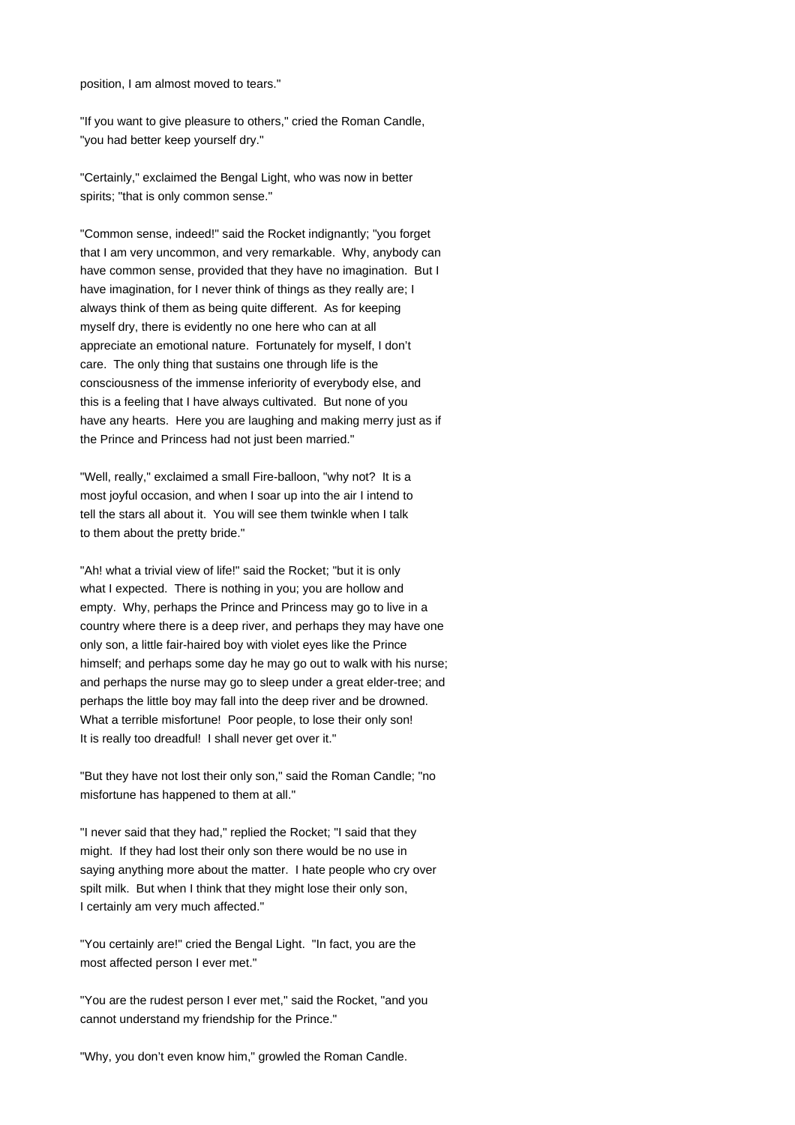position, I am almost moved to tears."

"If you want to give pleasure to others," cried the Roman Candle, "you had better keep yourself dry."

"Certainly," exclaimed the Bengal Light, who was now in better spirits; "that is only common sense."

"Common sense, indeed!" said the Rocket indignantly; "you forget that I am very uncommon, and very remarkable. Why, anybody can have common sense, provided that they have no imagination. But I have imagination, for I never think of things as they really are; I always think of them as being quite different. As for keeping myself dry, there is evidently no one here who can at all appreciate an emotional nature. Fortunately for myself, I don't care. The only thing that sustains one through life is the consciousness of the immense inferiority of everybody else, and this is a feeling that I have always cultivated. But none of you have any hearts. Here you are laughing and making merry just as if the Prince and Princess had not just been married."

"Well, really," exclaimed a small Fire-balloon, "why not? It is a most joyful occasion, and when I soar up into the air I intend to tell the stars all about it. You will see them twinkle when I talk to them about the pretty bride."

"Ah! what a trivial view of life!" said the Rocket; "but it is only what I expected. There is nothing in you; you are hollow and empty. Why, perhaps the Prince and Princess may go to live in a country where there is a deep river, and perhaps they may have one only son, a little fair-haired boy with violet eyes like the Prince himself; and perhaps some day he may go out to walk with his nurse; and perhaps the nurse may go to sleep under a great elder-tree; and perhaps the little boy may fall into the deep river and be drowned. What a terrible misfortune! Poor people, to lose their only son! It is really too dreadful! I shall never get over it."

"But they have not lost their only son," said the Roman Candle; "no misfortune has happened to them at all."

"I never said that they had," replied the Rocket; "I said that they might. If they had lost their only son there would be no use in saying anything more about the matter. I hate people who cry over spilt milk. But when I think that they might lose their only son, I certainly am very much affected."

"You certainly are!" cried the Bengal Light. "In fact, you are the most affected person I ever met."

"You are the rudest person I ever met," said the Rocket, "and you cannot understand my friendship for the Prince."

"Why, you don't even know him," growled the Roman Candle.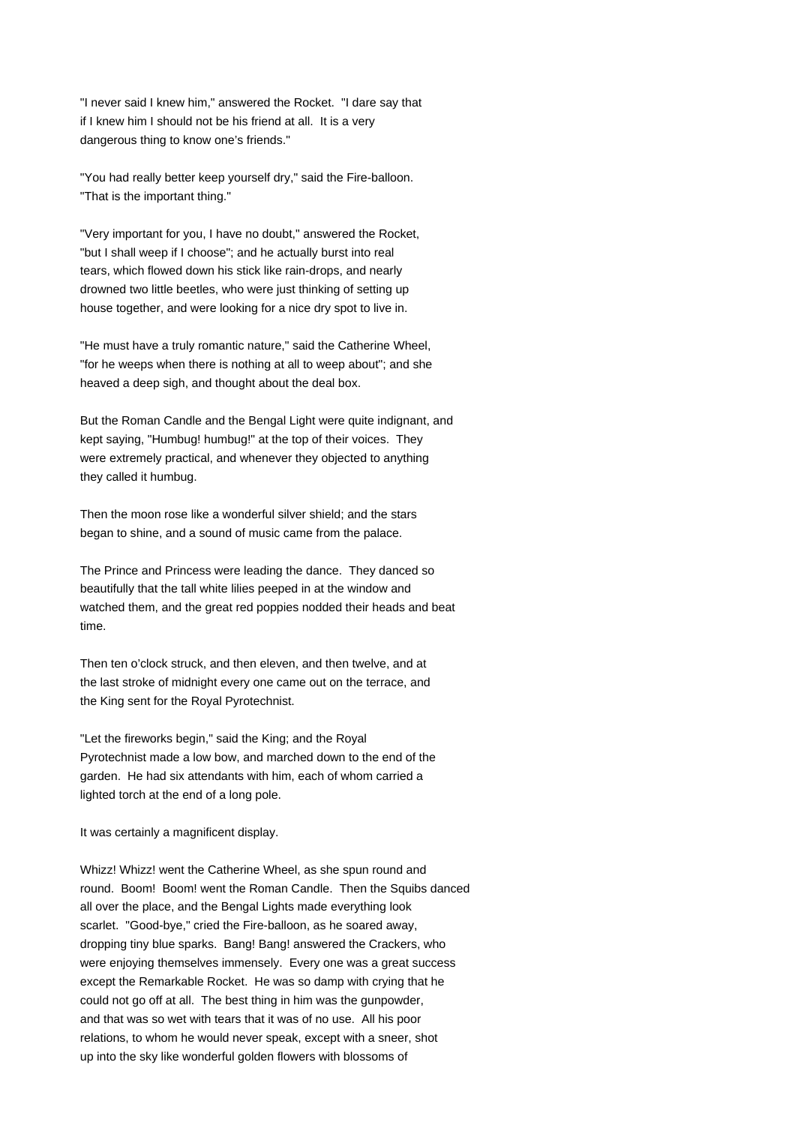"I never said I knew him," answered the Rocket. "I dare say that if I knew him I should not be his friend at all. It is a very dangerous thing to know one's friends."

"You had really better keep yourself dry," said the Fire-balloon. "That is the important thing."

"Very important for you, I have no doubt," answered the Rocket, "but I shall weep if I choose"; and he actually burst into real tears, which flowed down his stick like rain-drops, and nearly drowned two little beetles, who were just thinking of setting up house together, and were looking for a nice dry spot to live in.

"He must have a truly romantic nature," said the Catherine Wheel, "for he weeps when there is nothing at all to weep about"; and she heaved a deep sigh, and thought about the deal box.

But the Roman Candle and the Bengal Light were quite indignant, and kept saying, "Humbug! humbug!" at the top of their voices. They were extremely practical, and whenever they objected to anything they called it humbug.

Then the moon rose like a wonderful silver shield; and the stars began to shine, and a sound of music came from the palace.

The Prince and Princess were leading the dance. They danced so beautifully that the tall white lilies peeped in at the window and watched them, and the great red poppies nodded their heads and beat time.

Then ten o'clock struck, and then eleven, and then twelve, and at the last stroke of midnight every one came out on the terrace, and the King sent for the Royal Pyrotechnist.

"Let the fireworks begin," said the King; and the Royal Pyrotechnist made a low bow, and marched down to the end of the garden. He had six attendants with him, each of whom carried a lighted torch at the end of a long pole.

It was certainly a magnificent display.

Whizz! Whizz! went the Catherine Wheel, as she spun round and round. Boom! Boom! went the Roman Candle. Then the Squibs danced all over the place, and the Bengal Lights made everything look scarlet. "Good-bye," cried the Fire-balloon, as he soared away, dropping tiny blue sparks. Bang! Bang! answered the Crackers, who were enjoying themselves immensely. Every one was a great success except the Remarkable Rocket. He was so damp with crying that he could not go off at all. The best thing in him was the gunpowder, and that was so wet with tears that it was of no use. All his poor relations, to whom he would never speak, except with a sneer, shot up into the sky like wonderful golden flowers with blossoms of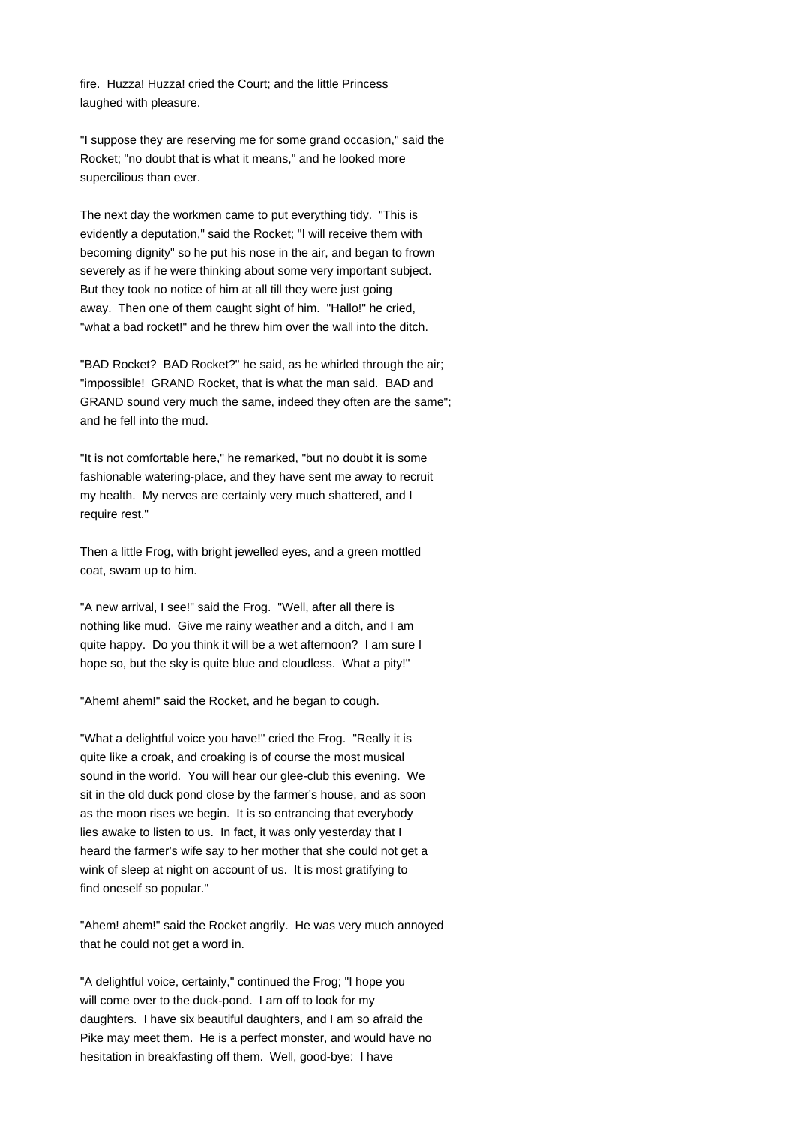fire. Huzza! Huzza! cried the Court; and the little Princess laughed with pleasure.

"I suppose they are reserving me for some grand occasion," said the Rocket; "no doubt that is what it means," and he looked more supercilious than ever.

The next day the workmen came to put everything tidy. "This is evidently a deputation," said the Rocket; "I will receive them with becoming dignity" so he put his nose in the air, and began to frown severely as if he were thinking about some very important subject. But they took no notice of him at all till they were just going away. Then one of them caught sight of him. "Hallo!" he cried, "what a bad rocket!" and he threw him over the wall into the ditch.

"BAD Rocket? BAD Rocket?" he said, as he whirled through the air; "impossible! GRAND Rocket, that is what the man said. BAD and GRAND sound very much the same, indeed they often are the same"; and he fell into the mud.

"It is not comfortable here," he remarked, "but no doubt it is some fashionable watering-place, and they have sent me away to recruit my health. My nerves are certainly very much shattered, and I require rest."

Then a little Frog, with bright jewelled eyes, and a green mottled coat, swam up to him.

"A new arrival, I see!" said the Frog. "Well, after all there is nothing like mud. Give me rainy weather and a ditch, and I am quite happy. Do you think it will be a wet afternoon? I am sure I hope so, but the sky is quite blue and cloudless. What a pity!"

"Ahem! ahem!" said the Rocket, and he began to cough.

"What a delightful voice you have!" cried the Frog. "Really it is quite like a croak, and croaking is of course the most musical sound in the world. You will hear our glee-club this evening. We sit in the old duck pond close by the farmer's house, and as soon as the moon rises we begin. It is so entrancing that everybody lies awake to listen to us. In fact, it was only yesterday that I heard the farmer's wife say to her mother that she could not get a wink of sleep at night on account of us. It is most gratifying to find oneself so popular."

"Ahem! ahem!" said the Rocket angrily. He was very much annoyed that he could not get a word in.

"A delightful voice, certainly," continued the Frog; "I hope you will come over to the duck-pond. I am off to look for my daughters. I have six beautiful daughters, and I am so afraid the Pike may meet them. He is a perfect monster, and would have no hesitation in breakfasting off them. Well, good-bye: I have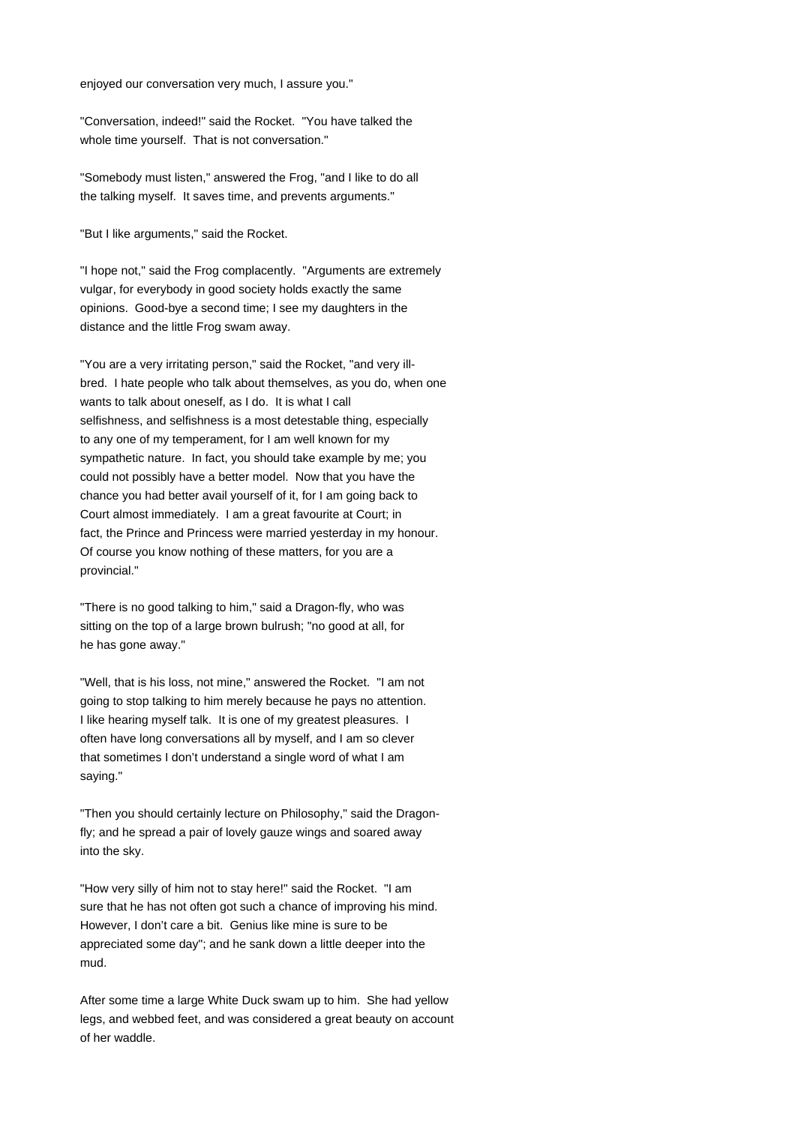enjoyed our conversation very much, I assure you."

"Conversation, indeed!" said the Rocket. "You have talked the whole time yourself. That is not conversation."

"Somebody must listen," answered the Frog, "and I like to do all the talking myself. It saves time, and prevents arguments."

"But I like arguments," said the Rocket.

"I hope not," said the Frog complacently. "Arguments are extremely vulgar, for everybody in good society holds exactly the same opinions. Good-bye a second time; I see my daughters in the distance and the little Frog swam away.

"You are a very irritating person," said the Rocket, "and very illbred. I hate people who talk about themselves, as you do, when one wants to talk about oneself, as I do. It is what I call selfishness, and selfishness is a most detestable thing, especially to any one of my temperament, for I am well known for my sympathetic nature. In fact, you should take example by me; you could not possibly have a better model. Now that you have the chance you had better avail yourself of it, for I am going back to Court almost immediately. I am a great favourite at Court; in fact, the Prince and Princess were married yesterday in my honour. Of course you know nothing of these matters, for you are a provincial."

"There is no good talking to him," said a Dragon-fly, who was sitting on the top of a large brown bulrush; "no good at all, for he has gone away."

"Well, that is his loss, not mine," answered the Rocket. "I am not going to stop talking to him merely because he pays no attention. I like hearing myself talk. It is one of my greatest pleasures. I often have long conversations all by myself, and I am so clever that sometimes I don't understand a single word of what I am saying."

"Then you should certainly lecture on Philosophy," said the Dragonfly; and he spread a pair of lovely gauze wings and soared away into the sky.

"How very silly of him not to stay here!" said the Rocket. "I am sure that he has not often got such a chance of improving his mind. However, I don't care a bit. Genius like mine is sure to be appreciated some day"; and he sank down a little deeper into the mud.

After some time a large White Duck swam up to him. She had yellow legs, and webbed feet, and was considered a great beauty on account of her waddle.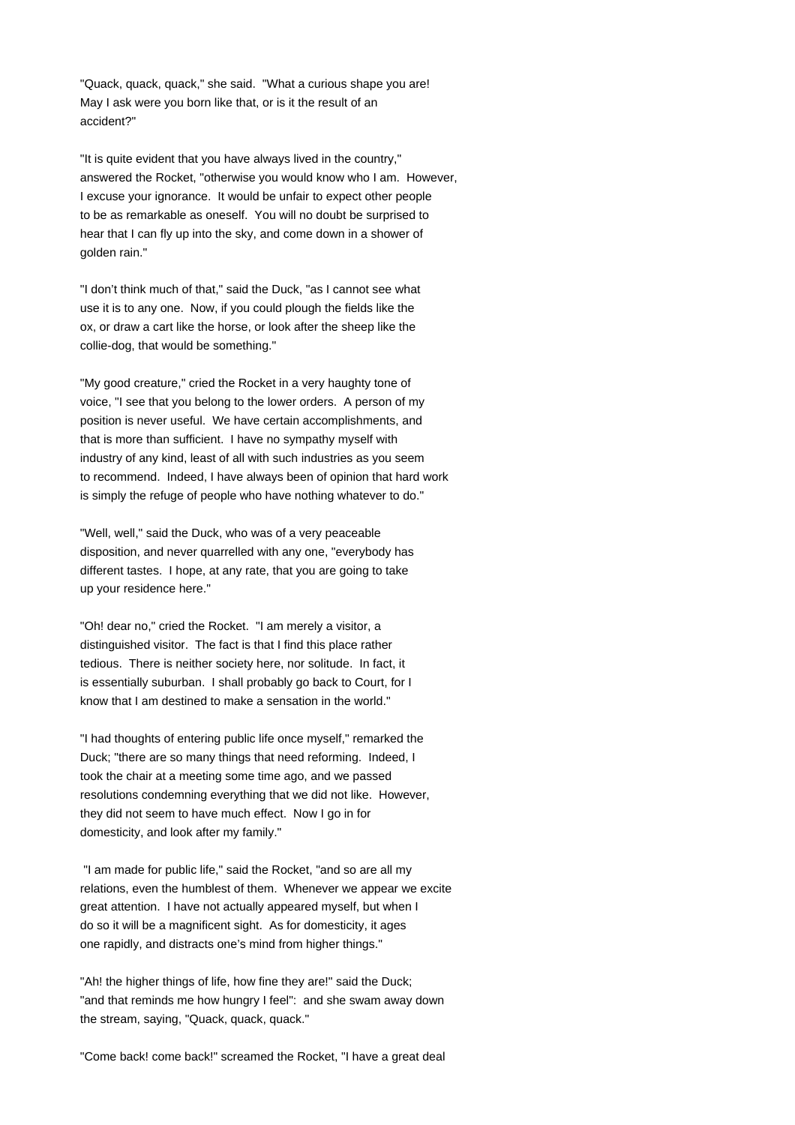"Quack, quack, quack," she said. "What a curious shape you are! May I ask were you born like that, or is it the result of an accident?"

"It is quite evident that you have always lived in the country," answered the Rocket, "otherwise you would know who I am. However, I excuse your ignorance. It would be unfair to expect other people to be as remarkable as oneself. You will no doubt be surprised to hear that I can fly up into the sky, and come down in a shower of golden rain."

"I don't think much of that," said the Duck, "as I cannot see what use it is to any one. Now, if you could plough the fields like the ox, or draw a cart like the horse, or look after the sheep like the collie-dog, that would be something."

"My good creature," cried the Rocket in a very haughty tone of voice, "I see that you belong to the lower orders. A person of my position is never useful. We have certain accomplishments, and that is more than sufficient. I have no sympathy myself with industry of any kind, least of all with such industries as you seem to recommend. Indeed, I have always been of opinion that hard work is simply the refuge of people who have nothing whatever to do."

"Well, well," said the Duck, who was of a very peaceable disposition, and never quarrelled with any one, "everybody has different tastes. I hope, at any rate, that you are going to take up your residence here."

"Oh! dear no," cried the Rocket. "I am merely a visitor, a distinguished visitor. The fact is that I find this place rather tedious. There is neither society here, nor solitude. In fact, it is essentially suburban. I shall probably go back to Court, for I know that I am destined to make a sensation in the world."

"I had thoughts of entering public life once myself," remarked the Duck; "there are so many things that need reforming. Indeed, I took the chair at a meeting some time ago, and we passed resolutions condemning everything that we did not like. However, they did not seem to have much effect. Now I go in for domesticity, and look after my family."

 "I am made for public life," said the Rocket, "and so are all my relations, even the humblest of them. Whenever we appear we excite great attention. I have not actually appeared myself, but when I do so it will be a magnificent sight. As for domesticity, it ages one rapidly, and distracts one's mind from higher things."

"Ah! the higher things of life, how fine they are!" said the Duck; "and that reminds me how hungry I feel": and she swam away down the stream, saying, "Quack, quack, quack."

"Come back! come back!" screamed the Rocket, "I have a great deal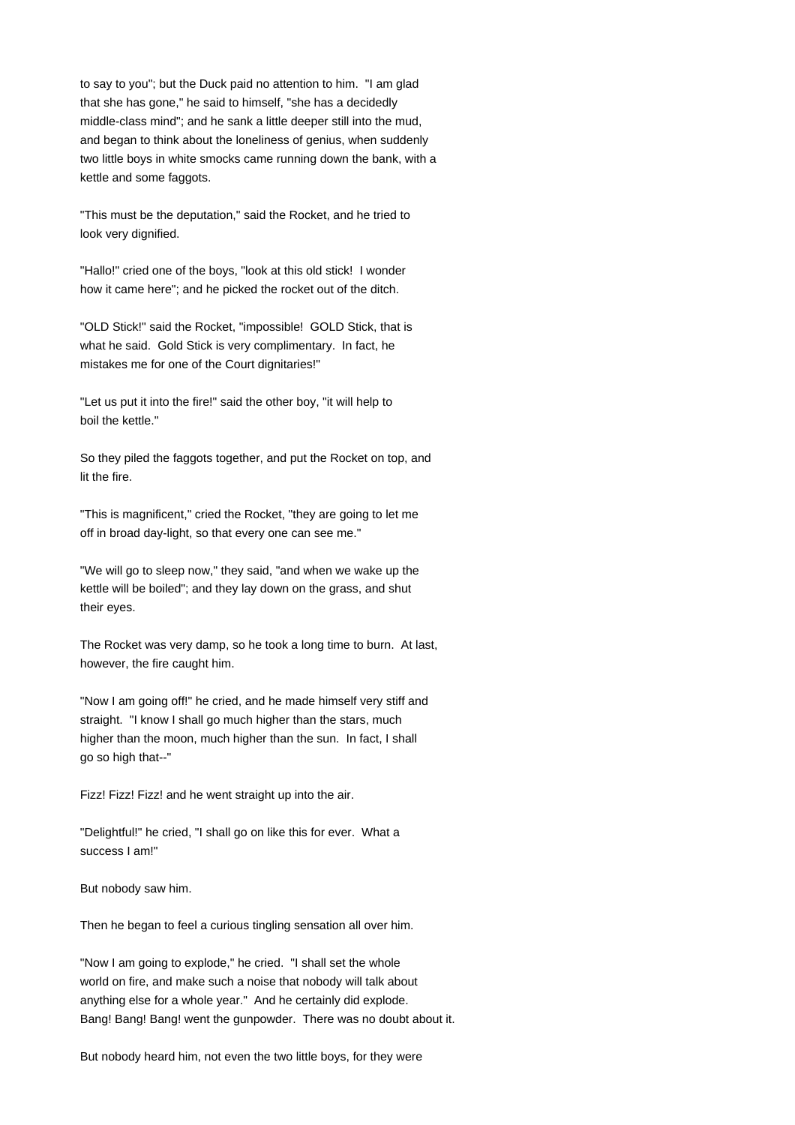to say to you"; but the Duck paid no attention to him. "I am glad that she has gone," he said to himself, "she has a decidedly middle-class mind"; and he sank a little deeper still into the mud, and began to think about the loneliness of genius, when suddenly two little boys in white smocks came running down the bank, with a kettle and some faggots.

"This must be the deputation," said the Rocket, and he tried to look very dignified.

"Hallo!" cried one of the boys, "look at this old stick! I wonder how it came here"; and he picked the rocket out of the ditch.

"OLD Stick!" said the Rocket, "impossible! GOLD Stick, that is what he said. Gold Stick is very complimentary. In fact, he mistakes me for one of the Court dignitaries!"

"Let us put it into the fire!" said the other boy, "it will help to boil the kettle."

So they piled the faggots together, and put the Rocket on top, and lit the fire.

"This is magnificent," cried the Rocket, "they are going to let me off in broad day-light, so that every one can see me."

"We will go to sleep now," they said, "and when we wake up the kettle will be boiled"; and they lay down on the grass, and shut their eyes.

The Rocket was very damp, so he took a long time to burn. At last, however, the fire caught him.

"Now I am going off!" he cried, and he made himself very stiff and straight. "I know I shall go much higher than the stars, much higher than the moon, much higher than the sun. In fact, I shall go so high that--"

Fizz! Fizz! Fizz! and he went straight up into the air.

"Delightful!" he cried, "I shall go on like this for ever. What a success I am!"

But nobody saw him.

Then he began to feel a curious tingling sensation all over him.

"Now I am going to explode," he cried. "I shall set the whole world on fire, and make such a noise that nobody will talk about anything else for a whole year." And he certainly did explode. Bang! Bang! Bang! went the gunpowder. There was no doubt about it.

But nobody heard him, not even the two little boys, for they were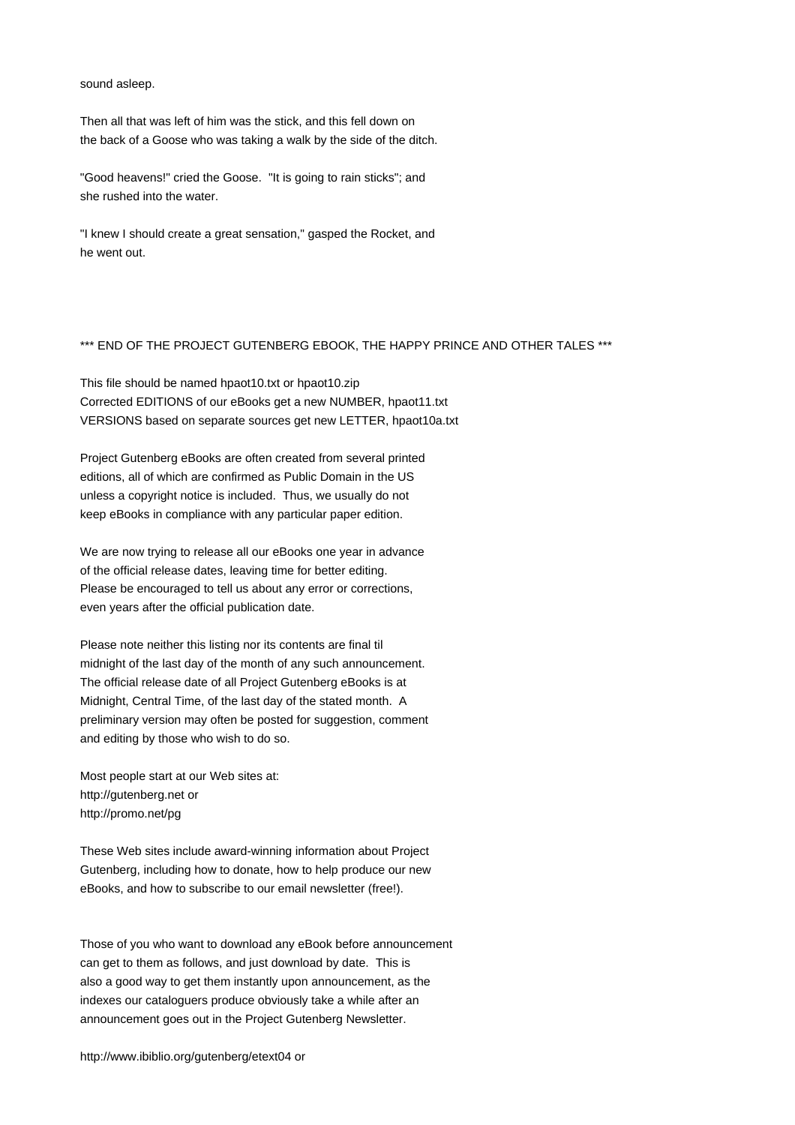sound asleep.

Then all that was left of him was the stick, and this fell down on the back of a Goose who was taking a walk by the side of the ditch.

"Good heavens!" cried the Goose. "It is going to rain sticks"; and she rushed into the water.

"I knew I should create a great sensation," gasped the Rocket, and he went out.

# \*\*\* END OF THE PROJECT GUTENBERG EBOOK, THE HAPPY PRINCE AND OTHER TALES \*\*\*

This file should be named hpaot10.txt or hpaot10.zip Corrected EDITIONS of our eBooks get a new NUMBER, hpaot11.txt VERSIONS based on separate sources get new LETTER, hpaot10a.txt

Project Gutenberg eBooks are often created from several printed editions, all of which are confirmed as Public Domain in the US unless a copyright notice is included. Thus, we usually do not keep eBooks in compliance with any particular paper edition.

We are now trying to release all our eBooks one year in advance of the official release dates, leaving time for better editing. Please be encouraged to tell us about any error or corrections, even years after the official publication date.

Please note neither this listing nor its contents are final til midnight of the last day of the month of any such announcement. The official release date of all Project Gutenberg eBooks is at Midnight, Central Time, of the last day of the stated month. A preliminary version may often be posted for suggestion, comment and editing by those who wish to do so.

Most people start at our Web sites at: http://gutenberg.net or http://promo.net/pg

These Web sites include award-winning information about Project Gutenberg, including how to donate, how to help produce our new eBooks, and how to subscribe to our email newsletter (free!).

Those of you who want to download any eBook before announcement can get to them as follows, and just download by date. This is also a good way to get them instantly upon announcement, as the indexes our cataloguers produce obviously take a while after an announcement goes out in the Project Gutenberg Newsletter.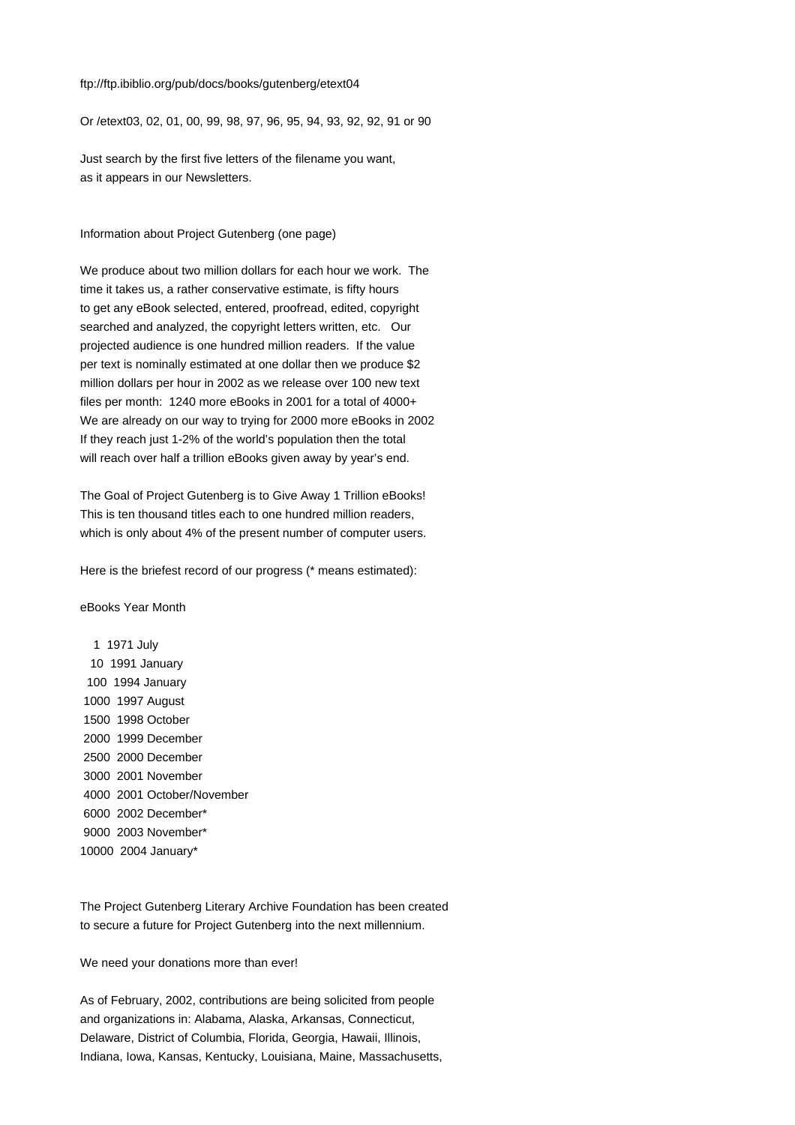#### ftp://ftp.ibiblio.org/pub/docs/books/gutenberg/etext04

Or /etext03, 02, 01, 00, 99, 98, 97, 96, 95, 94, 93, 92, 92, 91 or 90

Just search by the first five letters of the filename you want, as it appears in our Newsletters.

Information about Project Gutenberg (one page)

We produce about two million dollars for each hour we work. The time it takes us, a rather conservative estimate, is fifty hours to get any eBook selected, entered, proofread, edited, copyright searched and analyzed, the copyright letters written, etc. Our projected audience is one hundred million readers. If the value per text is nominally estimated at one dollar then we produce \$2 million dollars per hour in 2002 as we release over 100 new text files per month: 1240 more eBooks in 2001 for a total of 4000+ We are already on our way to trying for 2000 more eBooks in 2002 If they reach just 1-2% of the world's population then the total will reach over half a trillion eBooks given away by year's end.

The Goal of Project Gutenberg is to Give Away 1 Trillion eBooks! This is ten thousand titles each to one hundred million readers, which is only about 4% of the present number of computer users.

Here is the briefest record of our progress (\* means estimated):

eBooks Year Month

The Project Gutenberg Literary Archive Foundation has been created to secure a future for Project Gutenberg into the next millennium.

We need your donations more than ever!

As of February, 2002, contributions are being solicited from people and organizations in: Alabama, Alaska, Arkansas, Connecticut, Delaware, District of Columbia, Florida, Georgia, Hawaii, Illinois, Indiana, Iowa, Kansas, Kentucky, Louisiana, Maine, Massachusetts,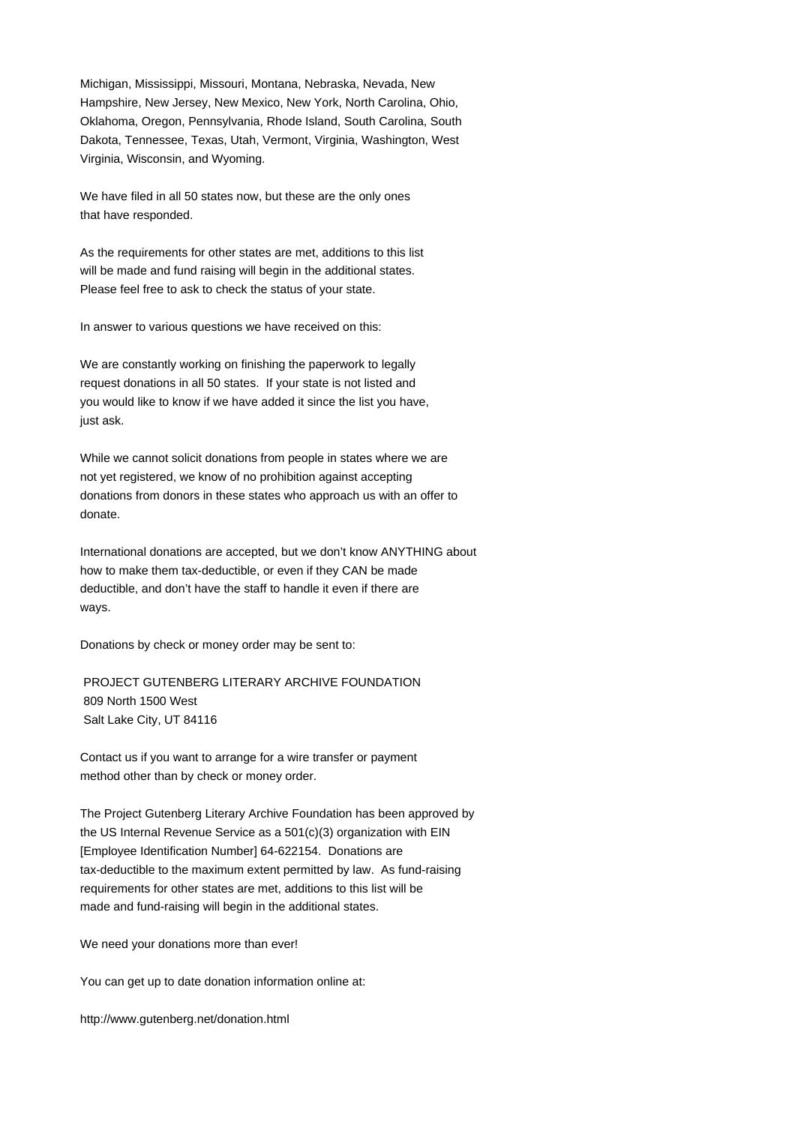Michigan, Mississippi, Missouri, Montana, Nebraska, Nevada, New Hampshire, New Jersey, New Mexico, New York, North Carolina, Ohio, Oklahoma, Oregon, Pennsylvania, Rhode Island, South Carolina, South Dakota, Tennessee, Texas, Utah, Vermont, Virginia, Washington, West Virginia, Wisconsin, and Wyoming.

We have filed in all 50 states now, but these are the only ones that have responded.

As the requirements for other states are met, additions to this list will be made and fund raising will begin in the additional states. Please feel free to ask to check the status of your state.

In answer to various questions we have received on this:

We are constantly working on finishing the paperwork to legally request donations in all 50 states. If your state is not listed and you would like to know if we have added it since the list you have, just ask.

While we cannot solicit donations from people in states where we are not yet registered, we know of no prohibition against accepting donations from donors in these states who approach us with an offer to donate.

International donations are accepted, but we don't know ANYTHING about how to make them tax-deductible, or even if they CAN be made deductible, and don't have the staff to handle it even if there are ways.

Donations by check or money order may be sent to:

 PROJECT GUTENBERG LITERARY ARCHIVE FOUNDATION 809 North 1500 West Salt Lake City, UT 84116

Contact us if you want to arrange for a wire transfer or payment method other than by check or money order.

The Project Gutenberg Literary Archive Foundation has been approved by the US Internal Revenue Service as a 501(c)(3) organization with EIN [Employee Identification Number] 64-622154. Donations are tax-deductible to the maximum extent permitted by law. As fund-raising requirements for other states are met, additions to this list will be made and fund-raising will begin in the additional states.

We need your donations more than ever!

You can get up to date donation information online at:

http://www.gutenberg.net/donation.html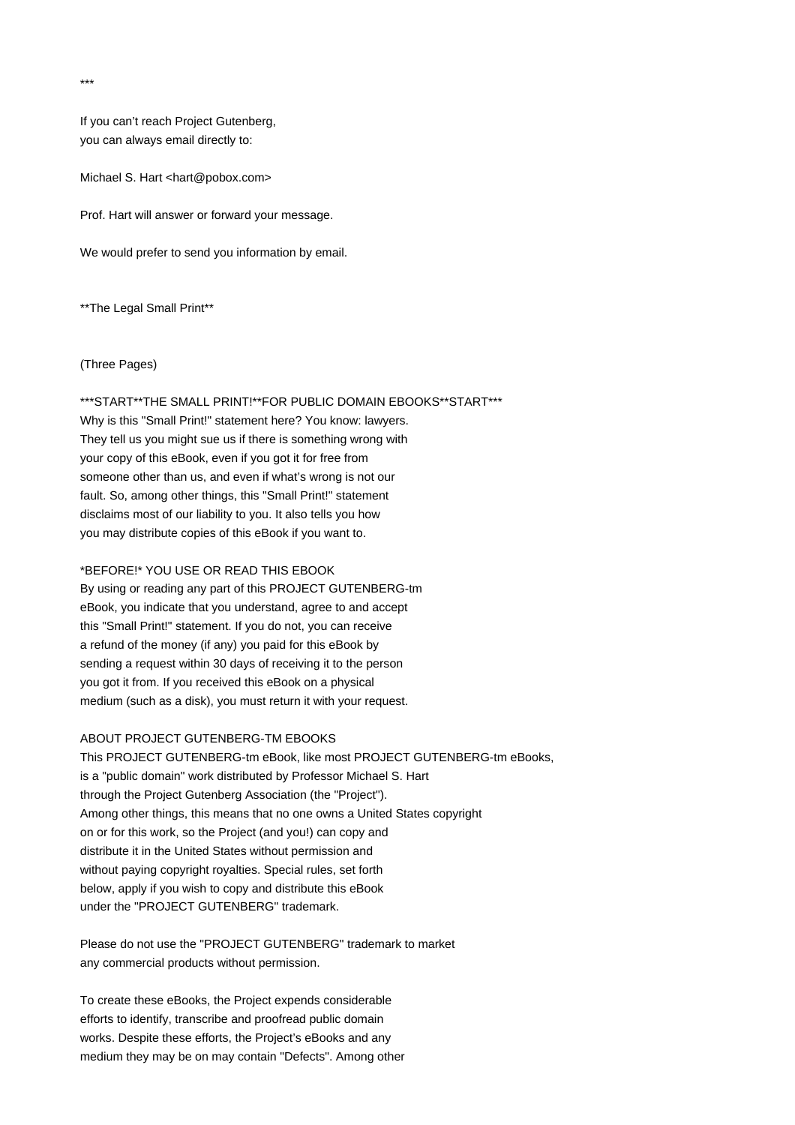If you can't reach Project Gutenberg, you can always email directly to:

Michael S. Hart <hart@pobox.com>

Prof. Hart will answer or forward your message.

We would prefer to send you information by email.

\*\*The Legal Small Print\*\*

### (Three Pages)

\*\*\*START\*\*THE SMALL PRINT!\*\*FOR PUBLIC DOMAIN EBOOKS\*\*START\*\*\* Why is this "Small Print!" statement here? You know: lawyers. They tell us you might sue us if there is something wrong with your copy of this eBook, even if you got it for free from someone other than us, and even if what's wrong is not our fault. So, among other things, this "Small Print!" statement disclaims most of our liability to you. It also tells you how

### \*BEFORE!\* YOU USE OR READ THIS EBOOK

you may distribute copies of this eBook if you want to.

By using or reading any part of this PROJECT GUTENBERG-tm eBook, you indicate that you understand, agree to and accept this "Small Print!" statement. If you do not, you can receive a refund of the money (if any) you paid for this eBook by sending a request within 30 days of receiving it to the person you got it from. If you received this eBook on a physical medium (such as a disk), you must return it with your request.

# ABOUT PROJECT GUTENBERG-TM EBOOKS

This PROJECT GUTENBERG-tm eBook, like most PROJECT GUTENBERG-tm eBooks, is a "public domain" work distributed by Professor Michael S. Hart through the Project Gutenberg Association (the "Project"). Among other things, this means that no one owns a United States copyright on or for this work, so the Project (and you!) can copy and distribute it in the United States without permission and without paying copyright royalties. Special rules, set forth below, apply if you wish to copy and distribute this eBook under the "PROJECT GUTENBERG" trademark.

Please do not use the "PROJECT GUTENBERG" trademark to market any commercial products without permission.

To create these eBooks, the Project expends considerable efforts to identify, transcribe and proofread public domain works. Despite these efforts, the Project's eBooks and any medium they may be on may contain "Defects". Among other

\*\*\*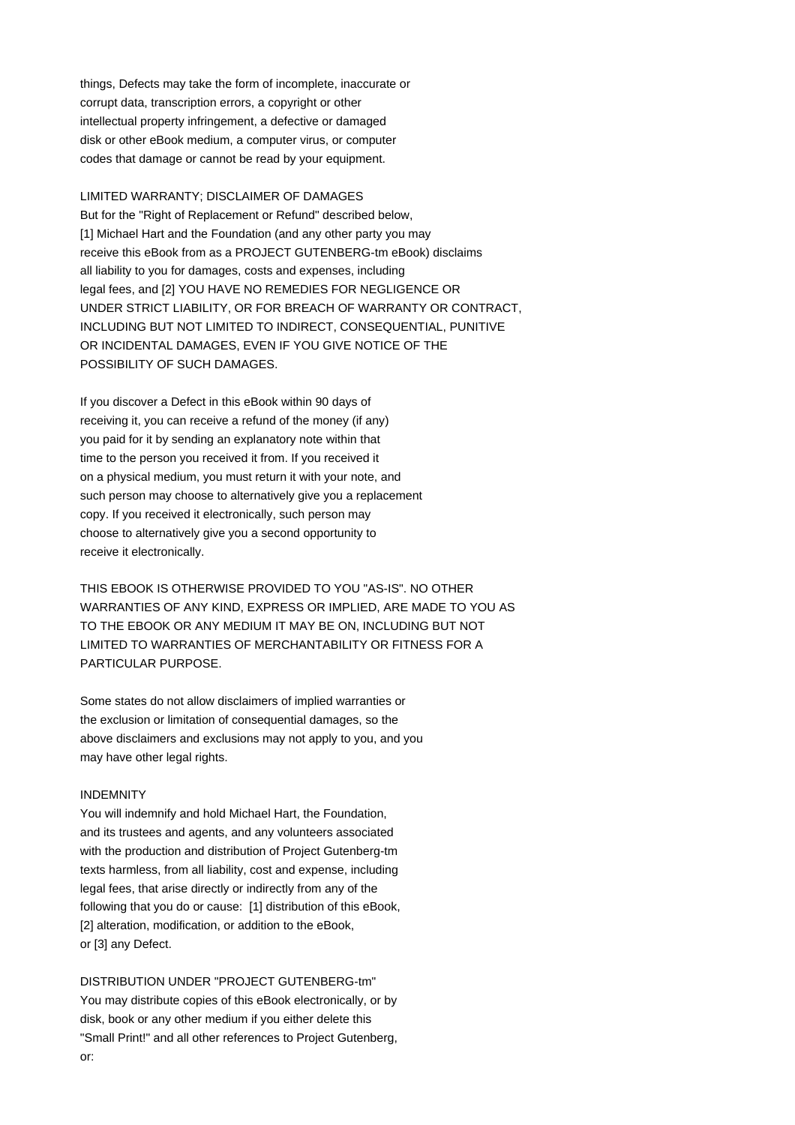things, Defects may take the form of incomplete, inaccurate or corrupt data, transcription errors, a copyright or other intellectual property infringement, a defective or damaged disk or other eBook medium, a computer virus, or computer codes that damage or cannot be read by your equipment.

# LIMITED WARRANTY; DISCLAIMER OF DAMAGES

But for the "Right of Replacement or Refund" described below, [1] Michael Hart and the Foundation (and any other party you may receive this eBook from as a PROJECT GUTENBERG-tm eBook) disclaims all liability to you for damages, costs and expenses, including legal fees, and [2] YOU HAVE NO REMEDIES FOR NEGLIGENCE OR UNDER STRICT LIABILITY, OR FOR BREACH OF WARRANTY OR CONTRACT, INCLUDING BUT NOT LIMITED TO INDIRECT, CONSEQUENTIAL, PUNITIVE OR INCIDENTAL DAMAGES, EVEN IF YOU GIVE NOTICE OF THE POSSIBILITY OF SUCH DAMAGES.

If you discover a Defect in this eBook within 90 days of receiving it, you can receive a refund of the money (if any) you paid for it by sending an explanatory note within that time to the person you received it from. If you received it on a physical medium, you must return it with your note, and such person may choose to alternatively give you a replacement copy. If you received it electronically, such person may choose to alternatively give you a second opportunity to receive it electronically.

THIS EBOOK IS OTHERWISE PROVIDED TO YOU "AS-IS". NO OTHER WARRANTIES OF ANY KIND, EXPRESS OR IMPLIED, ARE MADE TO YOU AS TO THE EBOOK OR ANY MEDIUM IT MAY BE ON, INCLUDING BUT NOT LIMITED TO WARRANTIES OF MERCHANTABILITY OR FITNESS FOR A PARTICULAR PURPOSE.

Some states do not allow disclaimers of implied warranties or the exclusion or limitation of consequential damages, so the above disclaimers and exclusions may not apply to you, and you may have other legal rights.

## INDEMNITY

You will indemnify and hold Michael Hart, the Foundation, and its trustees and agents, and any volunteers associated with the production and distribution of Project Gutenberg-tm texts harmless, from all liability, cost and expense, including legal fees, that arise directly or indirectly from any of the following that you do or cause: [1] distribution of this eBook, [2] alteration, modification, or addition to the eBook, or [3] any Defect.

DISTRIBUTION UNDER "PROJECT GUTENBERG-tm" You may distribute copies of this eBook electronically, or by disk, book or any other medium if you either delete this "Small Print!" and all other references to Project Gutenberg, or: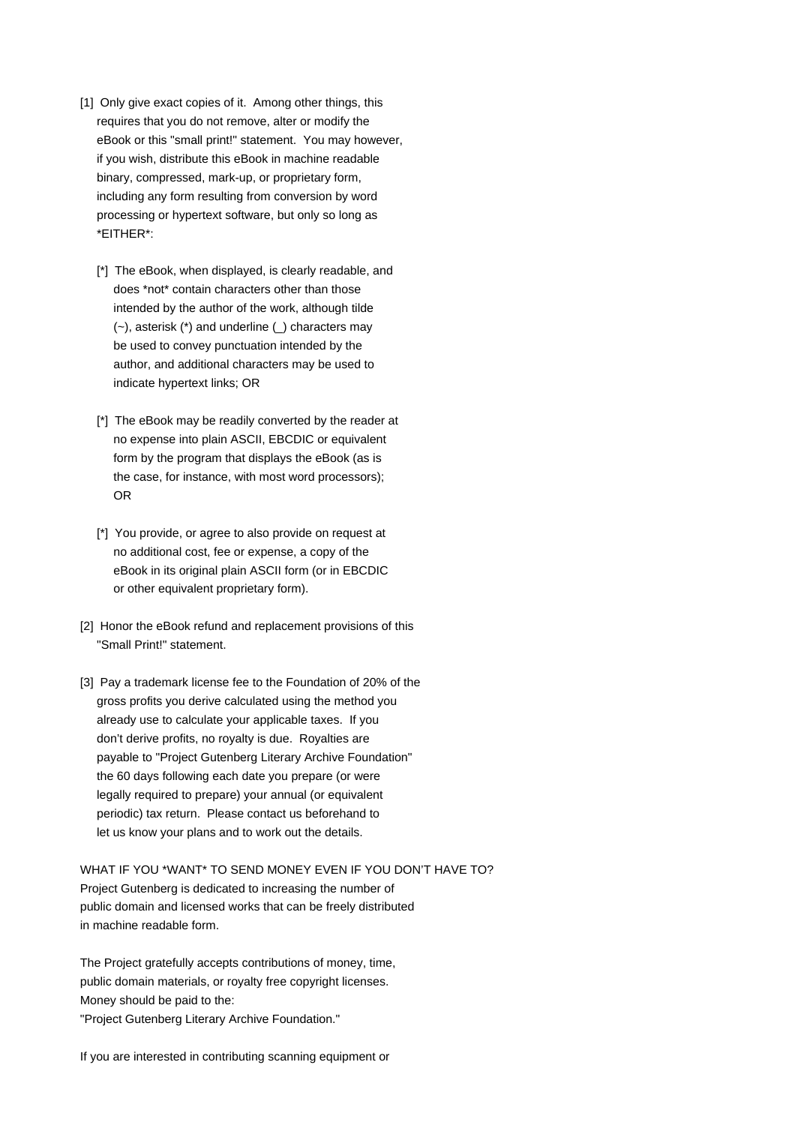- [1] Only give exact copies of it. Among other things, this requires that you do not remove, alter or modify the eBook or this "small print!" statement. You may however, if you wish, distribute this eBook in machine readable binary, compressed, mark-up, or proprietary form, including any form resulting from conversion by word processing or hypertext software, but only so long as \*EITHER\*:
	- [\*] The eBook, when displayed, is clearly readable, and does \*not\* contain characters other than those intended by the author of the work, although tilde (~), asterisk (\*) and underline (\_) characters may be used to convey punctuation intended by the author, and additional characters may be used to indicate hypertext links; OR
	- [\*] The eBook may be readily converted by the reader at no expense into plain ASCII, EBCDIC or equivalent form by the program that displays the eBook (as is the case, for instance, with most word processors); OR
	- [\*] You provide, or agree to also provide on request at no additional cost, fee or expense, a copy of the eBook in its original plain ASCII form (or in EBCDIC or other equivalent proprietary form).
- [2] Honor the eBook refund and replacement provisions of this "Small Print!" statement.
- [3] Pay a trademark license fee to the Foundation of 20% of the gross profits you derive calculated using the method you already use to calculate your applicable taxes. If you don't derive profits, no royalty is due. Royalties are payable to "Project Gutenberg Literary Archive Foundation" the 60 days following each date you prepare (or were legally required to prepare) your annual (or equivalent periodic) tax return. Please contact us beforehand to let us know your plans and to work out the details.

WHAT IF YOU \*WANT\* TO SEND MONEY EVEN IF YOU DON'T HAVE TO? Project Gutenberg is dedicated to increasing the number of public domain and licensed works that can be freely distributed in machine readable form.

The Project gratefully accepts contributions of money, time, public domain materials, or royalty free copyright licenses. Money should be paid to the: "Project Gutenberg Literary Archive Foundation."

If you are interested in contributing scanning equipment or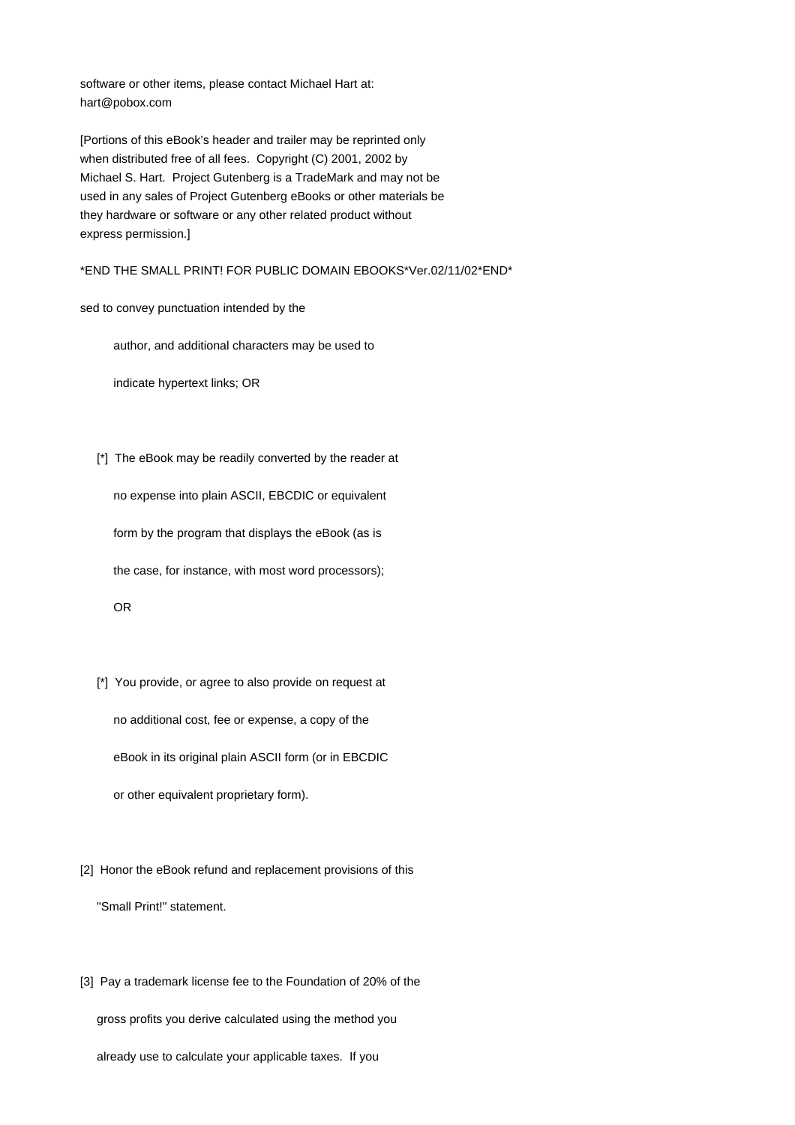software or other items, please contact Michael Hart at: hart@pobox.com

[Portions of this eBook's header and trailer may be reprinted only when distributed free of all fees. Copyright (C) 2001, 2002 by Michael S. Hart. Project Gutenberg is a TradeMark and may not be used in any sales of Project Gutenberg eBooks or other materials be they hardware or software or any other related product without express permission.]

\*END THE SMALL PRINT! FOR PUBLIC DOMAIN EBOOKS\*Ver.02/11/02\*END\*

sed to convey punctuation intended by the

author, and additional characters may be used to

indicate hypertext links; OR

[\*] The eBook may be readily converted by the reader at

 no expense into plain ASCII, EBCDIC or equivalent form by the program that displays the eBook (as is the case, for instance, with most word processors); OR

- [\*] You provide, or agree to also provide on request at no additional cost, fee or expense, a copy of the eBook in its original plain ASCII form (or in EBCDIC or other equivalent proprietary form).
- [2] Honor the eBook refund and replacement provisions of this "Small Print!" statement.
- [3] Pay a trademark license fee to the Foundation of 20% of the gross profits you derive calculated using the method you already use to calculate your applicable taxes. If you